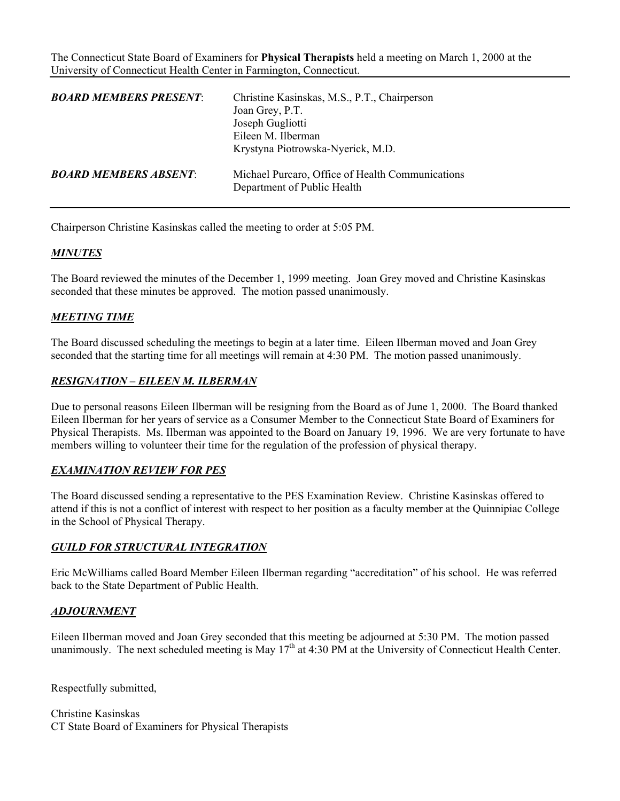The Connecticut State Board of Examiners for **Physical Therapists** held a meeting on March 1, 2000 at the University of Connecticut Health Center in Farmington, Connecticut.

| <b>BOARD MEMBERS PRESENT:</b> | Christine Kasinskas, M.S., P.T., Chairperson<br>Joan Grey, P.T.<br>Joseph Gugliotti<br>Eileen M. Ilberman<br>Krystyna Piotrowska-Nyerick, M.D. |
|-------------------------------|------------------------------------------------------------------------------------------------------------------------------------------------|
| <b>BOARD MEMBERS ABSENT:</b>  | Michael Purcaro, Office of Health Communications<br>Department of Public Health                                                                |

Chairperson Christine Kasinskas called the meeting to order at 5:05 PM.

### *MINUTES*

The Board reviewed the minutes of the December 1, 1999 meeting. Joan Grey moved and Christine Kasinskas seconded that these minutes be approved. The motion passed unanimously.

### *MEETING TIME*

The Board discussed scheduling the meetings to begin at a later time. Eileen Ilberman moved and Joan Grey seconded that the starting time for all meetings will remain at 4:30 PM. The motion passed unanimously.

#### *RESIGNATION – EILEEN M. ILBERMAN*

Due to personal reasons Eileen Ilberman will be resigning from the Board as of June 1, 2000. The Board thanked Eileen Ilberman for her years of service as a Consumer Member to the Connecticut State Board of Examiners for Physical Therapists. Ms. Ilberman was appointed to the Board on January 19, 1996. We are very fortunate to have members willing to volunteer their time for the regulation of the profession of physical therapy.

### *EXAMINATION REVIEW FOR PES*

The Board discussed sending a representative to the PES Examination Review. Christine Kasinskas offered to attend if this is not a conflict of interest with respect to her position as a faculty member at the Quinnipiac College in the School of Physical Therapy.

### *GUILD FOR STRUCTURAL INTEGRATION*

Eric McWilliams called Board Member Eileen Ilberman regarding "accreditation" of his school. He was referred back to the State Department of Public Health.

### *ADJOURNMENT*

Eileen Ilberman moved and Joan Grey seconded that this meeting be adjourned at 5:30 PM. The motion passed unanimously. The next scheduled meeting is May  $17<sup>th</sup>$  at 4:30 PM at the University of Connecticut Health Center.

Respectfully submitted,

Christine Kasinskas CT State Board of Examiners for Physical Therapists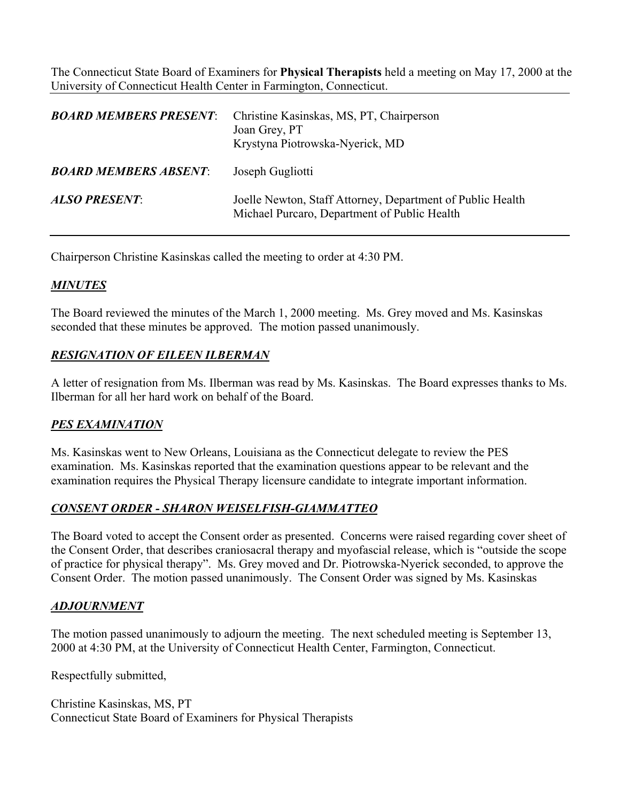The Connecticut State Board of Examiners for **Physical Therapists** held a meeting on May 17, 2000 at the University of Connecticut Health Center in Farmington, Connecticut.

| <b>BOARD MEMBERS PRESENT</b> | Christine Kasinskas, MS, PT, Chairperson<br>Joan Grey, PT<br>Krystyna Piotrowska-Nyerick, MD               |
|------------------------------|------------------------------------------------------------------------------------------------------------|
| <b>BOARD MEMBERS ABSENT</b>  | Joseph Gugliotti                                                                                           |
| <b>ALSO PRESENT:</b>         | Joelle Newton, Staff Attorney, Department of Public Health<br>Michael Purcaro, Department of Public Health |

Chairperson Christine Kasinskas called the meeting to order at 4:30 PM.

## *MINUTES*

The Board reviewed the minutes of the March 1, 2000 meeting. Ms. Grey moved and Ms. Kasinskas seconded that these minutes be approved. The motion passed unanimously.

## *RESIGNATION OF EILEEN ILBERMAN*

A letter of resignation from Ms. Ilberman was read by Ms. Kasinskas. The Board expresses thanks to Ms. Ilberman for all her hard work on behalf of the Board.

## *PES EXAMINATION*

Ms. Kasinskas went to New Orleans, Louisiana as the Connecticut delegate to review the PES examination. Ms. Kasinskas reported that the examination questions appear to be relevant and the examination requires the Physical Therapy licensure candidate to integrate important information.

## *CONSENT ORDER - SHARON WEISELFISH-GIAMMATTEO*

The Board voted to accept the Consent order as presented. Concerns were raised regarding cover sheet of the Consent Order, that describes craniosacral therapy and myofascial release, which is "outside the scope of practice for physical therapy". Ms. Grey moved and Dr. Piotrowska-Nyerick seconded, to approve the Consent Order. The motion passed unanimously. The Consent Order was signed by Ms. Kasinskas

## *ADJOURNMENT*

The motion passed unanimously to adjourn the meeting. The next scheduled meeting is September 13, 2000 at 4:30 PM, at the University of Connecticut Health Center, Farmington, Connecticut.

Respectfully submitted,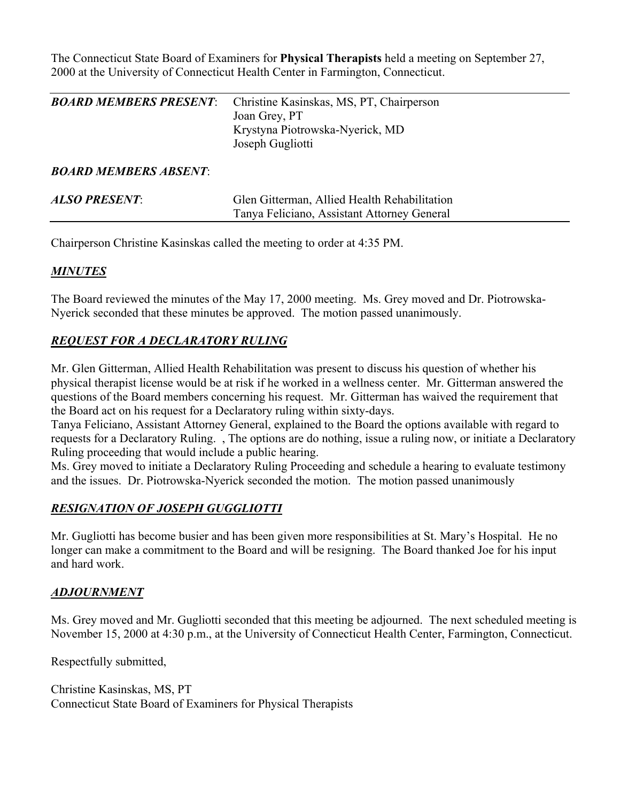The Connecticut State Board of Examiners for **Physical Therapists** held a meeting on September 27, 2000 at the University of Connecticut Health Center in Farmington, Connecticut.

| <b>BOARD MEMBERS PRESENT:</b> | Christine Kasinskas, MS, PT, Chairperson |
|-------------------------------|------------------------------------------|
|                               | Joan Grey, PT                            |
|                               | Krystyna Piotrowska-Nyerick, MD          |
|                               | Joseph Gugliotti                         |
|                               |                                          |
| <b>BOARD MEMBERS ARSENT</b>   |                                          |

# *BOARD MEMBERS ABSENT*:

| <b>ALSO PRESENT:</b> | Glen Gitterman, Allied Health Rehabilitation |
|----------------------|----------------------------------------------|
|                      | Tanya Feliciano, Assistant Attorney General  |
|                      |                                              |

Chairperson Christine Kasinskas called the meeting to order at 4:35 PM.

# *MINUTES*

The Board reviewed the minutes of the May 17, 2000 meeting. Ms. Grey moved and Dr. Piotrowska-Nyerick seconded that these minutes be approved. The motion passed unanimously.

## *REQUEST FOR A DECLARATORY RULING*

Mr. Glen Gitterman, Allied Health Rehabilitation was present to discuss his question of whether his physical therapist license would be at risk if he worked in a wellness center. Mr. Gitterman answered the questions of the Board members concerning his request. Mr. Gitterman has waived the requirement that the Board act on his request for a Declaratory ruling within sixty-days.

Tanya Feliciano, Assistant Attorney General, explained to the Board the options available with regard to requests for a Declaratory Ruling. , The options are do nothing, issue a ruling now, or initiate a Declaratory Ruling proceeding that would include a public hearing.

Ms. Grey moved to initiate a Declaratory Ruling Proceeding and schedule a hearing to evaluate testimony and the issues. Dr. Piotrowska-Nyerick seconded the motion. The motion passed unanimously

# *RESIGNATION OF JOSEPH GUGGLIOTTI*

Mr. Gugliotti has become busier and has been given more responsibilities at St. Mary's Hospital. He no longer can make a commitment to the Board and will be resigning. The Board thanked Joe for his input and hard work.

## *ADJOURNMENT*

Ms. Grey moved and Mr. Gugliotti seconded that this meeting be adjourned. The next scheduled meeting is November 15, 2000 at 4:30 p.m., at the University of Connecticut Health Center, Farmington, Connecticut.

Respectfully submitted,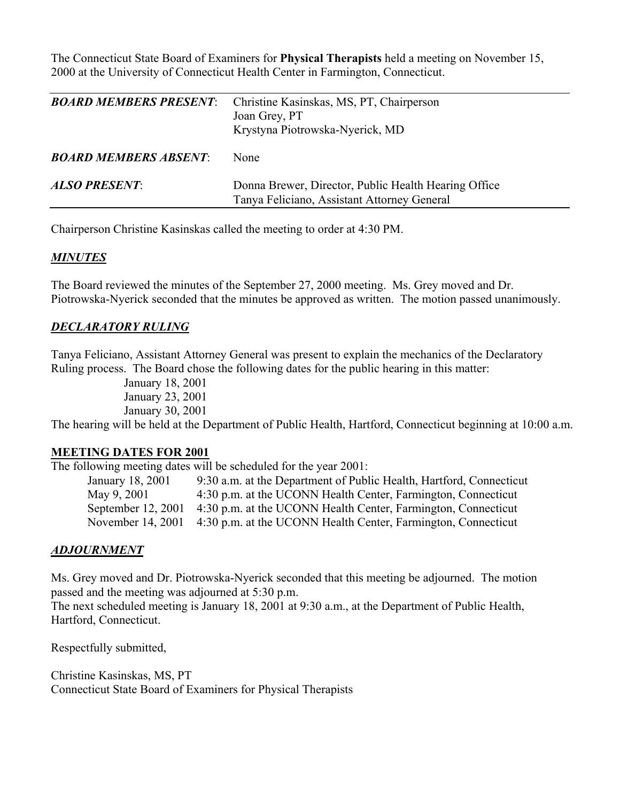The Connecticut State Board of Examiners for **Physical Therapists** held a meeting on November 15, 2000 at the University of Connecticut Health Center in Farmington, Connecticut.

| <b>BOARD MEMBERS PRESENT:</b> | Christine Kasinskas, MS, PT, Chairperson<br>Joan Grey, PT<br>Krystyna Piotrowska-Nyerick, MD        |
|-------------------------------|-----------------------------------------------------------------------------------------------------|
| <b>BOARD MEMBERS ABSENT:</b>  | None                                                                                                |
| <b>ALSO PRESENT:</b>          | Donna Brewer, Director, Public Health Hearing Office<br>Tanya Feliciano, Assistant Attorney General |

Chairperson Christine Kasinskas called the meeting to order at 4:30 PM.

### *MINUTES*

The Board reviewed the minutes of the September 27, 2000 meeting. Ms. Grey moved and Dr. Piotrowska-Nyerick seconded that the minutes be approved as written. The motion passed unanimously.

### *DECLARATORY RULING*

Tanya Feliciano, Assistant Attorney General was present to explain the mechanics of the Declaratory Ruling process. The Board chose the following dates for the public hearing in this matter:

> January 18, 2001 January 23, 2001 January 30, 2001

The hearing will be held at the Department of Public Health, Hartford, Connecticut beginning at 10:00 a.m.

### **MEETING DATES FOR 2001**

The following meeting dates will be scheduled for the year 2001:

| January 18, 2001   | 9:30 a.m. at the Department of Public Health, Hartford, Connecticut |
|--------------------|---------------------------------------------------------------------|
| May 9, 2001        | 4:30 p.m. at the UCONN Health Center, Farmington, Connecticut       |
| September 12, 2001 | 4:30 p.m. at the UCONN Health Center, Farmington, Connecticut       |
| November 14, 2001  | 4:30 p.m. at the UCONN Health Center, Farmington, Connecticut       |

### *ADJOURNMENT*

Ms. Grey moved and Dr. Piotrowska-Nyerick seconded that this meeting be adjourned. The motion passed and the meeting was adjourned at 5:30 p.m.

The next scheduled meeting is January 18, 2001 at 9:30 a.m., at the Department of Public Health, Hartford, Connecticut.

Respectfully submitted,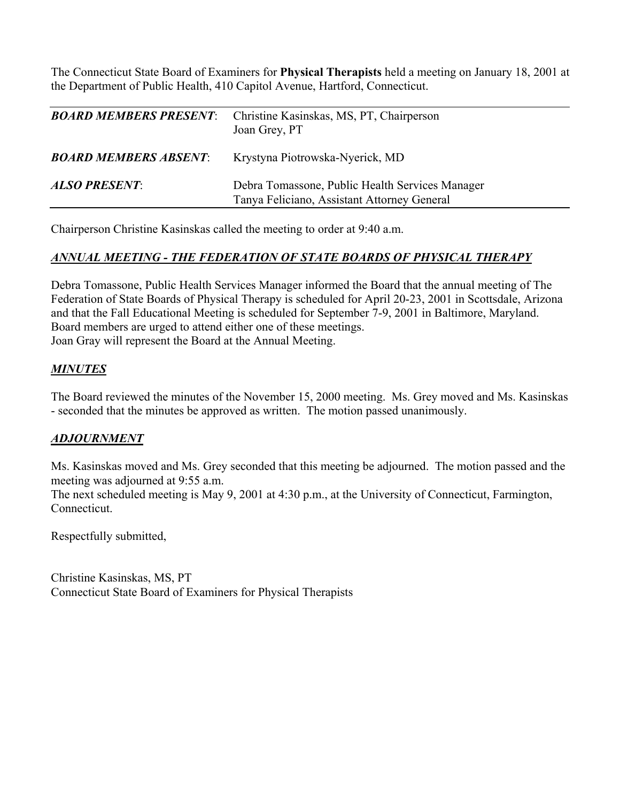The Connecticut State Board of Examiners for **Physical Therapists** held a meeting on January 18, 2001 at the Department of Public Health, 410 Capitol Avenue, Hartford, Connecticut.

| <b>BOARD MEMBERS PRESENT:</b> | Christine Kasinskas, MS, PT, Chairperson<br>Joan Grey, PT                                      |
|-------------------------------|------------------------------------------------------------------------------------------------|
| <b>BOARD MEMBERS ABSENT:</b>  | Krystyna Piotrowska-Nyerick, MD                                                                |
| <b>ALSO PRESENT:</b>          | Debra Tomassone, Public Health Services Manager<br>Tanya Feliciano, Assistant Attorney General |

Chairperson Christine Kasinskas called the meeting to order at 9:40 a.m.

## *ANNUAL MEETING - THE FEDERATION OF STATE BOARDS OF PHYSICAL THERAPY*

Debra Tomassone, Public Health Services Manager informed the Board that the annual meeting of The Federation of State Boards of Physical Therapy is scheduled for April 20-23, 2001 in Scottsdale, Arizona and that the Fall Educational Meeting is scheduled for September 7-9, 2001 in Baltimore, Maryland. Board members are urged to attend either one of these meetings. Joan Gray will represent the Board at the Annual Meeting.

### *MINUTES*

The Board reviewed the minutes of the November 15, 2000 meeting. Ms. Grey moved and Ms. Kasinskas - seconded that the minutes be approved as written. The motion passed unanimously.

## *ADJOURNMENT*

Ms. Kasinskas moved and Ms. Grey seconded that this meeting be adjourned. The motion passed and the meeting was adjourned at 9:55 a.m.

The next scheduled meeting is May 9, 2001 at 4:30 p.m., at the University of Connecticut, Farmington, **Connecticut.** 

Respectfully submitted,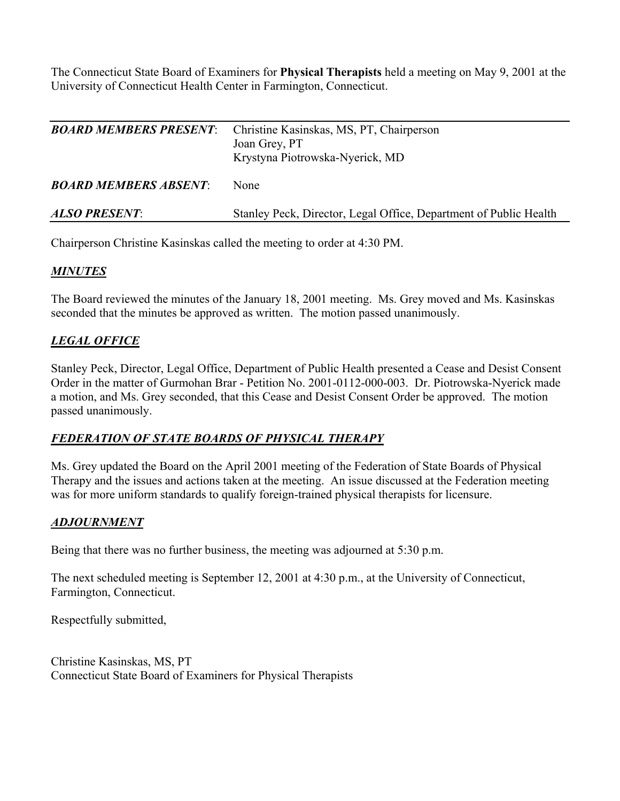The Connecticut State Board of Examiners for **Physical Therapists** held a meeting on May 9, 2001 at the University of Connecticut Health Center in Farmington, Connecticut.

| <b>BOARD MEMBERS PRESENT:</b> | Christine Kasinskas, MS, PT, Chairperson<br>Joan Grey, PT<br>Krystyna Piotrowska-Nyerick, MD |
|-------------------------------|----------------------------------------------------------------------------------------------|
| <b>BOARD MEMBERS ABSENT</b>   | None                                                                                         |
| <b>ALSO PRESENT:</b>          | Stanley Peck, Director, Legal Office, Department of Public Health                            |

Chairperson Christine Kasinskas called the meeting to order at 4:30 PM.

# *MINUTES*

The Board reviewed the minutes of the January 18, 2001 meeting. Ms. Grey moved and Ms. Kasinskas seconded that the minutes be approved as written. The motion passed unanimously.

# *LEGAL OFFICE*

Stanley Peck, Director, Legal Office, Department of Public Health presented a Cease and Desist Consent Order in the matter of Gurmohan Brar - Petition No. 2001-0112-000-003. Dr. Piotrowska-Nyerick made a motion, and Ms. Grey seconded, that this Cease and Desist Consent Order be approved. The motion passed unanimously.

# *FEDERATION OF STATE BOARDS OF PHYSICAL THERAPY*

Ms. Grey updated the Board on the April 2001 meeting of the Federation of State Boards of Physical Therapy and the issues and actions taken at the meeting. An issue discussed at the Federation meeting was for more uniform standards to qualify foreign-trained physical therapists for licensure.

## *ADJOURNMENT*

Being that there was no further business, the meeting was adjourned at 5:30 p.m.

The next scheduled meeting is September 12, 2001 at 4:30 p.m., at the University of Connecticut, Farmington, Connecticut.

Respectfully submitted,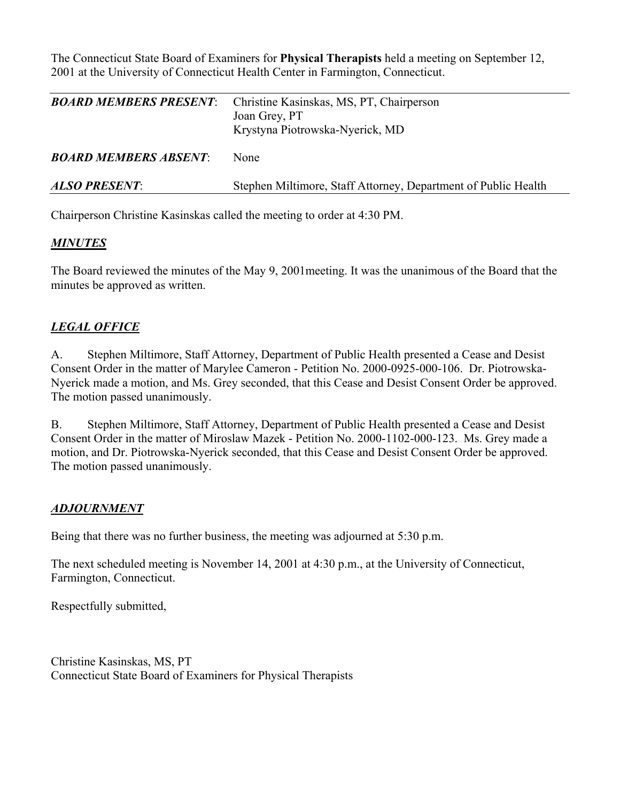The Connecticut State Board of Examiners for **Physical Therapists** held a meeting on September 12, 2001 at the University of Connecticut Health Center in Farmington, Connecticut.

| <b>BOARD MEMBERS PRESENT:</b> | Christine Kasinskas, MS, PT, Chairperson<br>Joan Grey, PT<br>Krystyna Piotrowska-Nyerick, MD |
|-------------------------------|----------------------------------------------------------------------------------------------|
| <b>BOARD MEMBERS ABSENT</b>   | <b>None</b>                                                                                  |
| <b>ALSO PRESENT:</b>          | Stephen Miltimore, Staff Attorney, Department of Public Health                               |

Chairperson Christine Kasinskas called the meeting to order at 4:30 PM.

## *MINUTES*

The Board reviewed the minutes of the May 9, 2001meeting. It was the unanimous of the Board that the minutes be approved as written.

## *LEGAL OFFICE*

A. Stephen Miltimore, Staff Attorney, Department of Public Health presented a Cease and Desist Consent Order in the matter of Marylee Cameron - Petition No. 2000-0925-000-106. Dr. Piotrowska-Nyerick made a motion, and Ms. Grey seconded, that this Cease and Desist Consent Order be approved. The motion passed unanimously.

B. Stephen Miltimore, Staff Attorney, Department of Public Health presented a Cease and Desist Consent Order in the matter of Miroslaw Mazek - Petition No. 2000-1102-000-123. Ms. Grey made a motion, and Dr. Piotrowska-Nyerick seconded, that this Cease and Desist Consent Order be approved. The motion passed unanimously.

## *ADJOURNMENT*

Being that there was no further business, the meeting was adjourned at 5:30 p.m.

The next scheduled meeting is November 14, 2001 at 4:30 p.m., at the University of Connecticut, Farmington, Connecticut.

Respectfully submitted,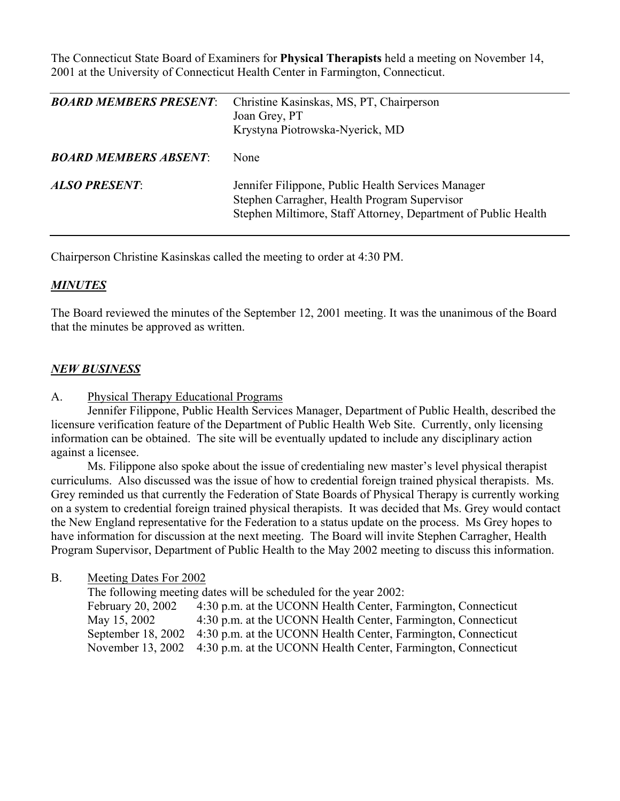The Connecticut State Board of Examiners for **Physical Therapists** held a meeting on November 14, 2001 at the University of Connecticut Health Center in Farmington, Connecticut.

| <b>BOARD MEMBERS PRESENT</b> | Christine Kasinskas, MS, PT, Chairperson<br>Joan Grey, PT<br>Krystyna Piotrowska-Nyerick, MD                                                                         |
|------------------------------|----------------------------------------------------------------------------------------------------------------------------------------------------------------------|
| <b>BOARD MEMBERS ABSENT</b>  | None                                                                                                                                                                 |
| <b>ALSO PRESENT:</b>         | Jennifer Filippone, Public Health Services Manager<br>Stephen Carragher, Health Program Supervisor<br>Stephen Miltimore, Staff Attorney, Department of Public Health |

Chairperson Christine Kasinskas called the meeting to order at 4:30 PM.

### *MINUTES*

The Board reviewed the minutes of the September 12, 2001 meeting. It was the unanimous of the Board that the minutes be approved as written.

#### *NEW BUSINESS*

A. Physical Therapy Educational Programs

 Jennifer Filippone, Public Health Services Manager, Department of Public Health, described the licensure verification feature of the Department of Public Health Web Site. Currently, only licensing information can be obtained. The site will be eventually updated to include any disciplinary action against a licensee.

 Ms. Filippone also spoke about the issue of credentialing new master's level physical therapist curriculums. Also discussed was the issue of how to credential foreign trained physical therapists. Ms. Grey reminded us that currently the Federation of State Boards of Physical Therapy is currently working on a system to credential foreign trained physical therapists. It was decided that Ms. Grey would contact the New England representative for the Federation to a status update on the process. Ms Grey hopes to have information for discussion at the next meeting. The Board will invite Stephen Carragher, Health Program Supervisor, Department of Public Health to the May 2002 meeting to discuss this information.

#### B. Meeting Dates For 2002

The following meeting dates will be scheduled for the year 2002:

February 20, 2002 4:30 p.m. at the UCONN Health Center, Farmington, Connecticut May 15, 2002 4:30 p.m. at the UCONN Health Center, Farmington, Connecticut September 18, 2002 4:30 p.m. at the UCONN Health Center, Farmington, Connecticut November 13, 2002 4:30 p.m. at the UCONN Health Center, Farmington, Connecticut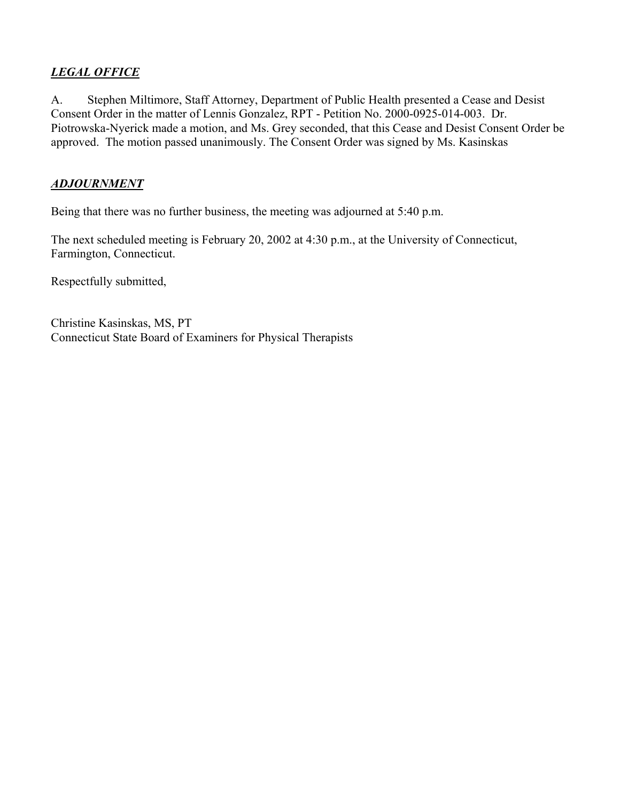# *LEGAL OFFICE*

A. Stephen Miltimore, Staff Attorney, Department of Public Health presented a Cease and Desist Consent Order in the matter of Lennis Gonzalez, RPT - Petition No. 2000-0925-014-003. Dr. Piotrowska-Nyerick made a motion, and Ms. Grey seconded, that this Cease and Desist Consent Order be approved. The motion passed unanimously. The Consent Order was signed by Ms. Kasinskas

## *ADJOURNMENT*

Being that there was no further business, the meeting was adjourned at 5:40 p.m.

The next scheduled meeting is February 20, 2002 at 4:30 p.m., at the University of Connecticut, Farmington, Connecticut.

Respectfully submitted,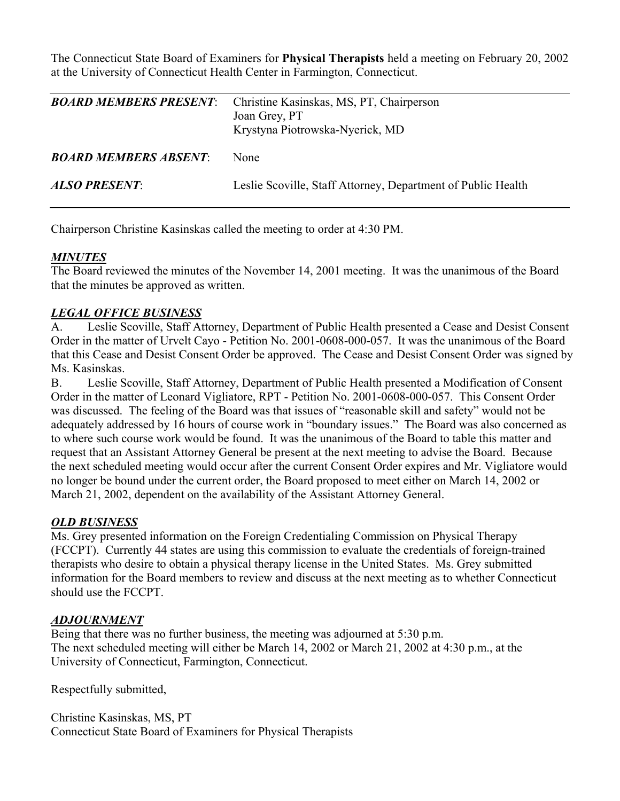The Connecticut State Board of Examiners for **Physical Therapists** held a meeting on February 20, 2002 at the University of Connecticut Health Center in Farmington, Connecticut.

| <b>BOARD MEMBERS PRESENT:</b> | Christine Kasinskas, MS, PT, Chairperson<br>Joan Grey, PT<br>Krystyna Piotrowska-Nyerick, MD |
|-------------------------------|----------------------------------------------------------------------------------------------|
| <b>BOARD MEMBERS ABSENT</b>   | None                                                                                         |
| <b>ALSO PRESENT:</b>          | Leslie Scoville, Staff Attorney, Department of Public Health                                 |

Chairperson Christine Kasinskas called the meeting to order at 4:30 PM.

## *MINUTES*

The Board reviewed the minutes of the November 14, 2001 meeting. It was the unanimous of the Board that the minutes be approved as written.

## *LEGAL OFFICE BUSINESS*

A. Leslie Scoville, Staff Attorney, Department of Public Health presented a Cease and Desist Consent Order in the matter of Urvelt Cayo - Petition No. 2001-0608-000-057. It was the unanimous of the Board that this Cease and Desist Consent Order be approved. The Cease and Desist Consent Order was signed by Ms. Kasinskas.

B. Leslie Scoville, Staff Attorney, Department of Public Health presented a Modification of Consent Order in the matter of Leonard Vigliatore, RPT - Petition No. 2001-0608-000-057. This Consent Order was discussed. The feeling of the Board was that issues of "reasonable skill and safety" would not be adequately addressed by 16 hours of course work in "boundary issues." The Board was also concerned as to where such course work would be found. It was the unanimous of the Board to table this matter and request that an Assistant Attorney General be present at the next meeting to advise the Board. Because the next scheduled meeting would occur after the current Consent Order expires and Mr. Vigliatore would no longer be bound under the current order, the Board proposed to meet either on March 14, 2002 or March 21, 2002, dependent on the availability of the Assistant Attorney General.

## *OLD BUSINESS*

Ms. Grey presented information on the Foreign Credentialing Commission on Physical Therapy (FCCPT). Currently 44 states are using this commission to evaluate the credentials of foreign-trained therapists who desire to obtain a physical therapy license in the United States. Ms. Grey submitted information for the Board members to review and discuss at the next meeting as to whether Connecticut should use the FCCPT.

## *ADJOURNMENT*

Being that there was no further business, the meeting was adjourned at 5:30 p.m. The next scheduled meeting will either be March 14, 2002 or March 21, 2002 at 4:30 p.m., at the University of Connecticut, Farmington, Connecticut.

Respectfully submitted,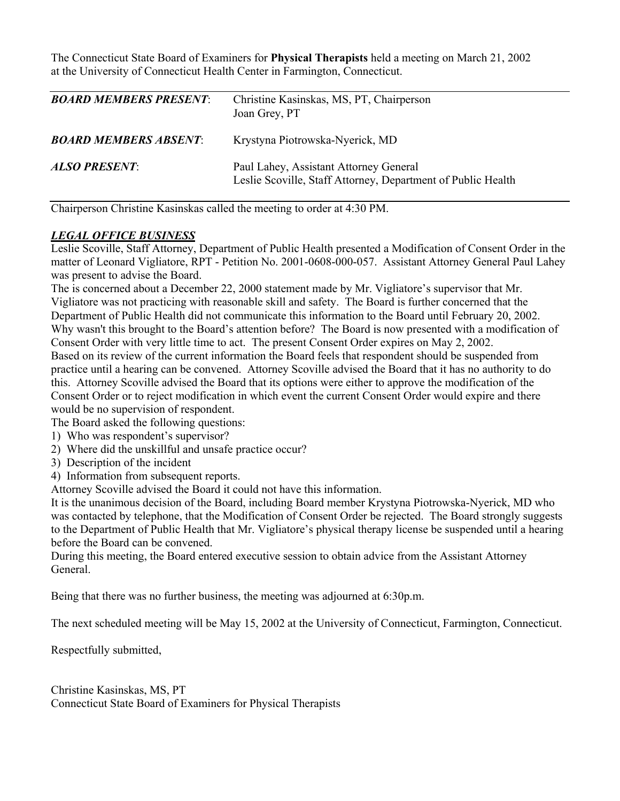The Connecticut State Board of Examiners for **Physical Therapists** held a meeting on March 21, 2002 at the University of Connecticut Health Center in Farmington, Connecticut.

| <b>BOARD MEMBERS PRESENT:</b> | Christine Kasinskas, MS, PT, Chairperson<br>Joan Grey, PT                                              |
|-------------------------------|--------------------------------------------------------------------------------------------------------|
| <b>BOARD MEMBERS ABSENT:</b>  | Krystyna Piotrowska-Nyerick, MD                                                                        |
| <b>ALSO PRESENT:</b>          | Paul Lahey, Assistant Attorney General<br>Leslie Scoville, Staff Attorney, Department of Public Health |

Chairperson Christine Kasinskas called the meeting to order at 4:30 PM.

#### *LEGAL OFFICE BUSINESS*

Leslie Scoville, Staff Attorney, Department of Public Health presented a Modification of Consent Order in the matter of Leonard Vigliatore, RPT - Petition No. 2001-0608-000-057. Assistant Attorney General Paul Lahey was present to advise the Board.

The is concerned about a December 22, 2000 statement made by Mr. Vigliatore's supervisor that Mr. Vigliatore was not practicing with reasonable skill and safety. The Board is further concerned that the Department of Public Health did not communicate this information to the Board until February 20, 2002. Why wasn't this brought to the Board's attention before? The Board is now presented with a modification of Consent Order with very little time to act. The present Consent Order expires on May 2, 2002. Based on its review of the current information the Board feels that respondent should be suspended from practice until a hearing can be convened. Attorney Scoville advised the Board that it has no authority to do this. Attorney Scoville advised the Board that its options were either to approve the modification of the Consent Order or to reject modification in which event the current Consent Order would expire and there would be no supervision of respondent.

The Board asked the following questions:

- 1) Who was respondent's supervisor?
- 2) Where did the unskillful and unsafe practice occur?
- 3) Description of the incident
- 4) Information from subsequent reports.

Attorney Scoville advised the Board it could not have this information.

It is the unanimous decision of the Board, including Board member Krystyna Piotrowska-Nyerick, MD who was contacted by telephone, that the Modification of Consent Order be rejected. The Board strongly suggests to the Department of Public Health that Mr. Vigliatore's physical therapy license be suspended until a hearing before the Board can be convened.

During this meeting, the Board entered executive session to obtain advice from the Assistant Attorney General.

Being that there was no further business, the meeting was adjourned at 6:30p.m.

The next scheduled meeting will be May 15, 2002 at the University of Connecticut, Farmington, Connecticut.

Respectfully submitted,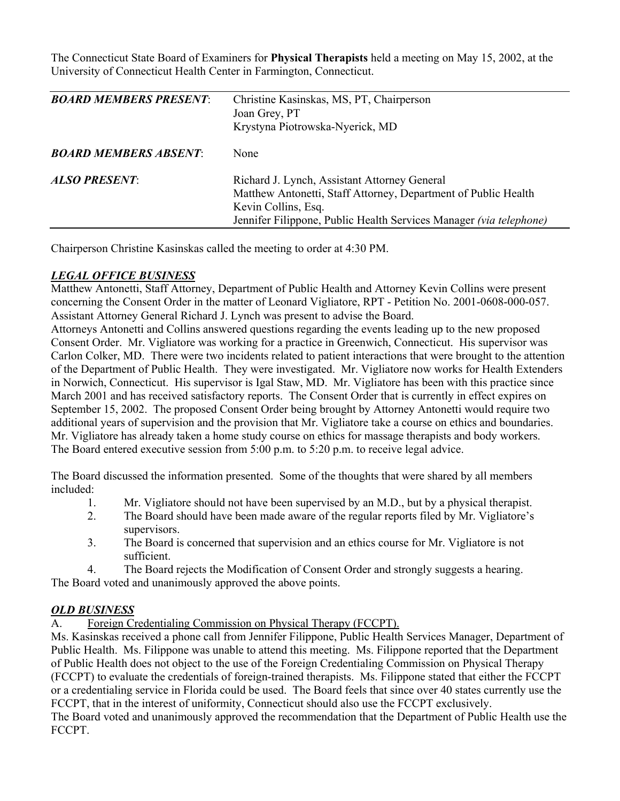The Connecticut State Board of Examiners for **Physical Therapists** held a meeting on May 15, 2002, at the University of Connecticut Health Center in Farmington, Connecticut.

| <b>BOARD MEMBERS PRESENT:</b> | Christine Kasinskas, MS, PT, Chairperson<br>Joan Grey, PT<br>Krystyna Piotrowska-Nyerick, MD                                                                                                                |
|-------------------------------|-------------------------------------------------------------------------------------------------------------------------------------------------------------------------------------------------------------|
| <b>BOARD MEMBERS ABSENT:</b>  | None                                                                                                                                                                                                        |
| <b>ALSO PRESENT:</b>          | Richard J. Lynch, Assistant Attorney General<br>Matthew Antonetti, Staff Attorney, Department of Public Health<br>Kevin Collins, Esq.<br>Jennifer Filippone, Public Health Services Manager (via telephone) |

Chairperson Christine Kasinskas called the meeting to order at 4:30 PM.

### *LEGAL OFFICE BUSINESS*

Matthew Antonetti, Staff Attorney, Department of Public Health and Attorney Kevin Collins were present concerning the Consent Order in the matter of Leonard Vigliatore, RPT - Petition No. 2001-0608-000-057. Assistant Attorney General Richard J. Lynch was present to advise the Board.

Attorneys Antonetti and Collins answered questions regarding the events leading up to the new proposed Consent Order. Mr. Vigliatore was working for a practice in Greenwich, Connecticut. His supervisor was Carlon Colker, MD. There were two incidents related to patient interactions that were brought to the attention of the Department of Public Health. They were investigated. Mr. Vigliatore now works for Health Extenders in Norwich, Connecticut. His supervisor is Igal Staw, MD. Mr. Vigliatore has been with this practice since March 2001 and has received satisfactory reports. The Consent Order that is currently in effect expires on September 15, 2002. The proposed Consent Order being brought by Attorney Antonetti would require two additional years of supervision and the provision that Mr. Vigliatore take a course on ethics and boundaries. Mr. Vigliatore has already taken a home study course on ethics for massage therapists and body workers. The Board entered executive session from 5:00 p.m. to 5:20 p.m. to receive legal advice.

The Board discussed the information presented. Some of the thoughts that were shared by all members included:

- 1. Mr. Vigliatore should not have been supervised by an M.D., but by a physical therapist.
- 2. The Board should have been made aware of the regular reports filed by Mr. Vigliatore's supervisors.
- 3. The Board is concerned that supervision and an ethics course for Mr. Vigliatore is not sufficient.
- 4. The Board rejects the Modification of Consent Order and strongly suggests a hearing.

The Board voted and unanimously approved the above points.

### *OLD BUSINESS*

A. Foreign Credentialing Commission on Physical Therapy (FCCPT).

Ms. Kasinskas received a phone call from Jennifer Filippone, Public Health Services Manager, Department of Public Health. Ms. Filippone was unable to attend this meeting. Ms. Filippone reported that the Department of Public Health does not object to the use of the Foreign Credentialing Commission on Physical Therapy (FCCPT) to evaluate the credentials of foreign-trained therapists. Ms. Filippone stated that either the FCCPT or a credentialing service in Florida could be used. The Board feels that since over 40 states currently use the FCCPT, that in the interest of uniformity, Connecticut should also use the FCCPT exclusively.

The Board voted and unanimously approved the recommendation that the Department of Public Health use the FCCPT.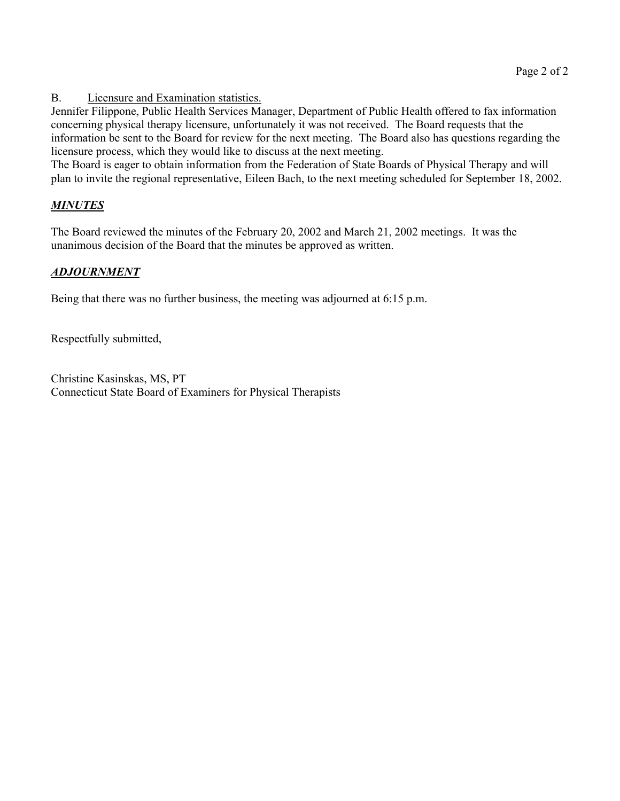B. Licensure and Examination statistics.

Jennifer Filippone, Public Health Services Manager, Department of Public Health offered to fax information concerning physical therapy licensure, unfortunately it was not received. The Board requests that the information be sent to the Board for review for the next meeting. The Board also has questions regarding the licensure process, which they would like to discuss at the next meeting.

The Board is eager to obtain information from the Federation of State Boards of Physical Therapy and will plan to invite the regional representative, Eileen Bach, to the next meeting scheduled for September 18, 2002.

# *MINUTES*

The Board reviewed the minutes of the February 20, 2002 and March 21, 2002 meetings. It was the unanimous decision of the Board that the minutes be approved as written.

## *ADJOURNMENT*

Being that there was no further business, the meeting was adjourned at 6:15 p.m.

Respectfully submitted,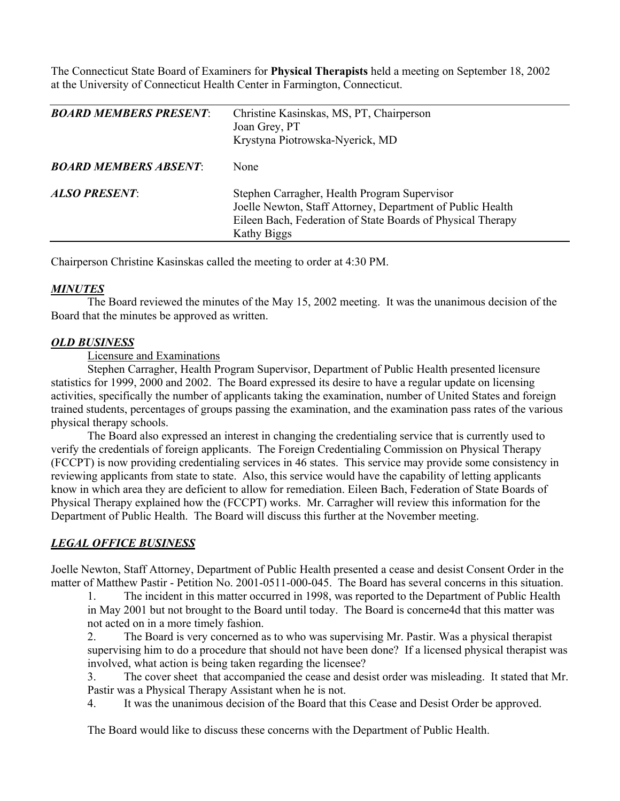The Connecticut State Board of Examiners for **Physical Therapists** held a meeting on September 18, 2002 at the University of Connecticut Health Center in Farmington, Connecticut.

| <b>BOARD MEMBERS PRESENT:</b> | Christine Kasinskas, MS, PT, Chairperson<br>Joan Grey, PT<br>Krystyna Piotrowska-Nyerick, MD                                                                                             |
|-------------------------------|------------------------------------------------------------------------------------------------------------------------------------------------------------------------------------------|
| <b>BOARD MEMBERS ABSENT:</b>  | None                                                                                                                                                                                     |
| <b>ALSO PRESENT:</b>          | Stephen Carragher, Health Program Supervisor<br>Joelle Newton, Staff Attorney, Department of Public Health<br>Eileen Bach, Federation of State Boards of Physical Therapy<br>Kathy Biggs |

Chairperson Christine Kasinskas called the meeting to order at 4:30 PM.

### *MINUTES*

 The Board reviewed the minutes of the May 15, 2002 meeting. It was the unanimous decision of the Board that the minutes be approved as written.

#### *OLD BUSINESS*

Licensure and Examinations

 Stephen Carragher, Health Program Supervisor, Department of Public Health presented licensure statistics for 1999, 2000 and 2002. The Board expressed its desire to have a regular update on licensing activities, specifically the number of applicants taking the examination, number of United States and foreign trained students, percentages of groups passing the examination, and the examination pass rates of the various physical therapy schools.

 The Board also expressed an interest in changing the credentialing service that is currently used to verify the credentials of foreign applicants. The Foreign Credentialing Commission on Physical Therapy (FCCPT) is now providing credentialing services in 46 states. This service may provide some consistency in reviewing applicants from state to state. Also, this service would have the capability of letting applicants know in which area they are deficient to allow for remediation. Eileen Bach, Federation of State Boards of Physical Therapy explained how the (FCCPT) works. Mr. Carragher will review this information for the Department of Public Health. The Board will discuss this further at the November meeting.

## *LEGAL OFFICE BUSINESS*

Joelle Newton, Staff Attorney, Department of Public Health presented a cease and desist Consent Order in the matter of Matthew Pastir - Petition No. 2001-0511-000-045. The Board has several concerns in this situation.

1. The incident in this matter occurred in 1998, was reported to the Department of Public Health in May 2001 but not brought to the Board until today. The Board is concerne4d that this matter was not acted on in a more timely fashion.

2. The Board is very concerned as to who was supervising Mr. Pastir. Was a physical therapist supervising him to do a procedure that should not have been done? If a licensed physical therapist was involved, what action is being taken regarding the licensee?

3. The cover sheet that accompanied the cease and desist order was misleading. It stated that Mr. Pastir was a Physical Therapy Assistant when he is not.

4. It was the unanimous decision of the Board that this Cease and Desist Order be approved.

The Board would like to discuss these concerns with the Department of Public Health.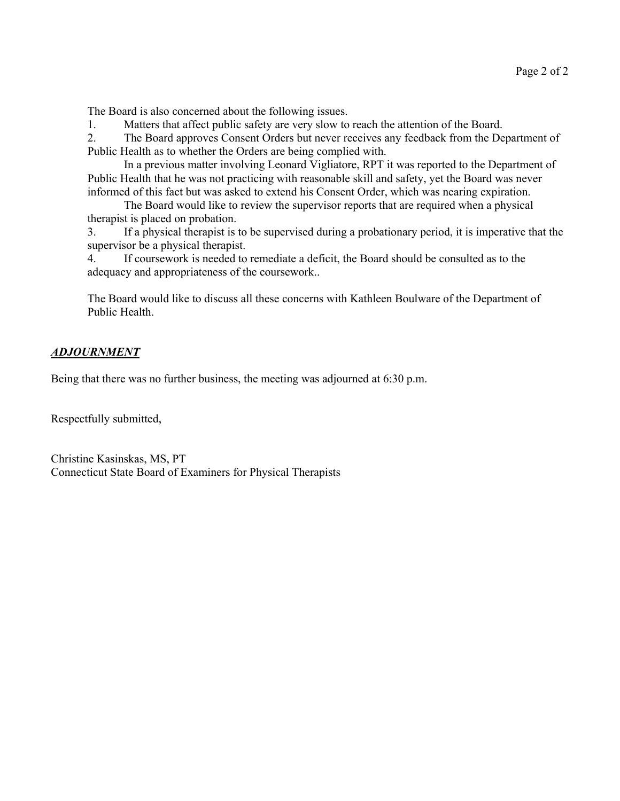The Board is also concerned about the following issues.

1. Matters that affect public safety are very slow to reach the attention of the Board.

2. The Board approves Consent Orders but never receives any feedback from the Department of Public Health as to whether the Orders are being complied with.

 In a previous matter involving Leonard Vigliatore, RPT it was reported to the Department of Public Health that he was not practicing with reasonable skill and safety, yet the Board was never informed of this fact but was asked to extend his Consent Order, which was nearing expiration.

 The Board would like to review the supervisor reports that are required when a physical therapist is placed on probation.

3. If a physical therapist is to be supervised during a probationary period, it is imperative that the supervisor be a physical therapist.

4. If coursework is needed to remediate a deficit, the Board should be consulted as to the adequacy and appropriateness of the coursework..

The Board would like to discuss all these concerns with Kathleen Boulware of the Department of Public Health.

### *ADJOURNMENT*

Being that there was no further business, the meeting was adjourned at 6:30 p.m.

Respectfully submitted,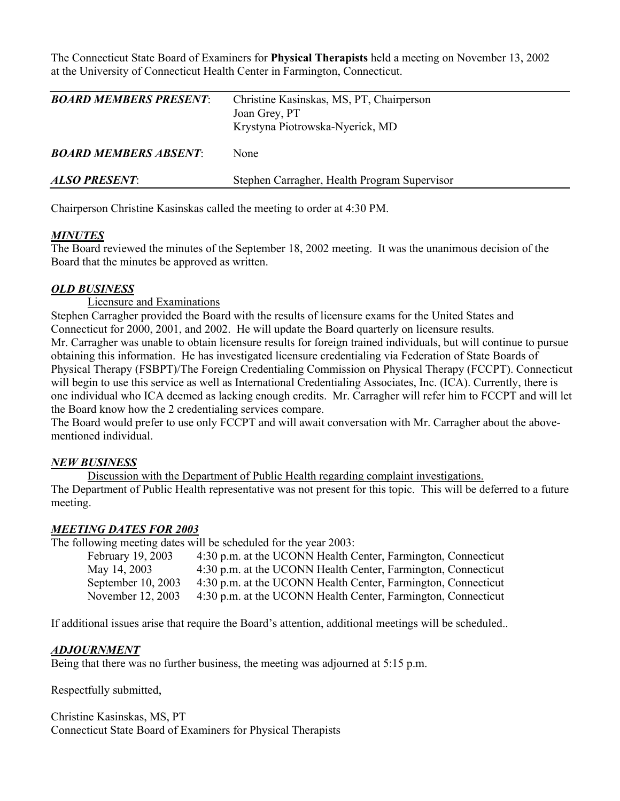The Connecticut State Board of Examiners for **Physical Therapists** held a meeting on November 13, 2002 at the University of Connecticut Health Center in Farmington, Connecticut.

| <b>BOARD MEMBERS PRESENT:</b> | Christine Kasinskas, MS, PT, Chairperson<br>Joan Grey, PT<br>Krystyna Piotrowska-Nyerick, MD |
|-------------------------------|----------------------------------------------------------------------------------------------|
| <b>BOARD MEMBERS ABSENT:</b>  | <b>None</b>                                                                                  |
| <b>ALSO PRESENT:</b>          | Stephen Carragher, Health Program Supervisor                                                 |

Chairperson Christine Kasinskas called the meeting to order at 4:30 PM.

### *MINUTES*

The Board reviewed the minutes of the September 18, 2002 meeting. It was the unanimous decision of the Board that the minutes be approved as written.

### *OLD BUSINESS*

Licensure and Examinations

Stephen Carragher provided the Board with the results of licensure exams for the United States and Connecticut for 2000, 2001, and 2002. He will update the Board quarterly on licensure results. Mr. Carragher was unable to obtain licensure results for foreign trained individuals, but will continue to pursue obtaining this information. He has investigated licensure credentialing via Federation of State Boards of Physical Therapy (FSBPT)/The Foreign Credentialing Commission on Physical Therapy (FCCPT). Connecticut will begin to use this service as well as International Credentialing Associates, Inc. (ICA). Currently, there is one individual who ICA deemed as lacking enough credits. Mr. Carragher will refer him to FCCPT and will let the Board know how the 2 credentialing services compare.

The Board would prefer to use only FCCPT and will await conversation with Mr. Carragher about the abovementioned individual.

#### *NEW BUSINESS*

 Discussion with the Department of Public Health regarding complaint investigations. The Department of Public Health representative was not present for this topic. This will be deferred to a future meeting.

#### *MEETING DATES FOR 2003*

The following meeting dates will be scheduled for the year 2003:

February 19, 2003 4:30 p.m. at the UCONN Health Center, Farmington, Connecticut May 14, 2003 4:30 p.m. at the UCONN Health Center, Farmington, Connecticut September 10, 2003 4:30 p.m. at the UCONN Health Center, Farmington, Connecticut November 12, 2003 4:30 p.m. at the UCONN Health Center, Farmington, Connecticut

If additional issues arise that require the Board's attention, additional meetings will be scheduled..

#### *ADJOURNMENT*

Being that there was no further business, the meeting was adjourned at 5:15 p.m.

Respectfully submitted,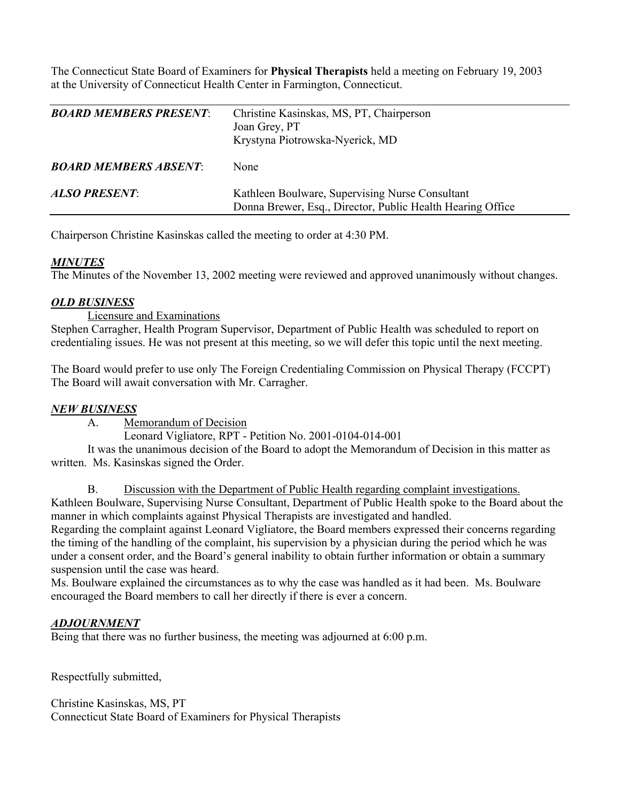The Connecticut State Board of Examiners for **Physical Therapists** held a meeting on February 19, 2003 at the University of Connecticut Health Center in Farmington, Connecticut.

| <b>BOARD MEMBERS PRESENT:</b> | Christine Kasinskas, MS, PT, Chairperson<br>Joan Grey, PT<br>Krystyna Piotrowska-Nyerick, MD                  |
|-------------------------------|---------------------------------------------------------------------------------------------------------------|
| <b>BOARD MEMBERS ABSENT:</b>  | None                                                                                                          |
| <b>ALSO PRESENT:</b>          | Kathleen Boulware, Supervising Nurse Consultant<br>Donna Brewer, Esq., Director, Public Health Hearing Office |

Chairperson Christine Kasinskas called the meeting to order at 4:30 PM.

### *MINUTES*

The Minutes of the November 13, 2002 meeting were reviewed and approved unanimously without changes.

### *OLD BUSINESS*

Licensure and Examinations

Stephen Carragher, Health Program Supervisor, Department of Public Health was scheduled to report on credentialing issues. He was not present at this meeting, so we will defer this topic until the next meeting.

The Board would prefer to use only The Foreign Credentialing Commission on Physical Therapy (FCCPT) The Board will await conversation with Mr. Carragher.

## *NEW BUSINESS*

A. Memorandum of Decision

Leonard Vigliatore, RPT - Petition No. 2001-0104-014-001

 It was the unanimous decision of the Board to adopt the Memorandum of Decision in this matter as written. Ms. Kasinskas signed the Order.

 B. Discussion with the Department of Public Health regarding complaint investigations. Kathleen Boulware, Supervising Nurse Consultant, Department of Public Health spoke to the Board about the manner in which complaints against Physical Therapists are investigated and handled.

Regarding the complaint against Leonard Vigliatore, the Board members expressed their concerns regarding the timing of the handling of the complaint, his supervision by a physician during the period which he was under a consent order, and the Board's general inability to obtain further information or obtain a summary suspension until the case was heard.

Ms. Boulware explained the circumstances as to why the case was handled as it had been. Ms. Boulware encouraged the Board members to call her directly if there is ever a concern.

### *ADJOURNMENT*

Being that there was no further business, the meeting was adjourned at 6:00 p.m.

Respectfully submitted,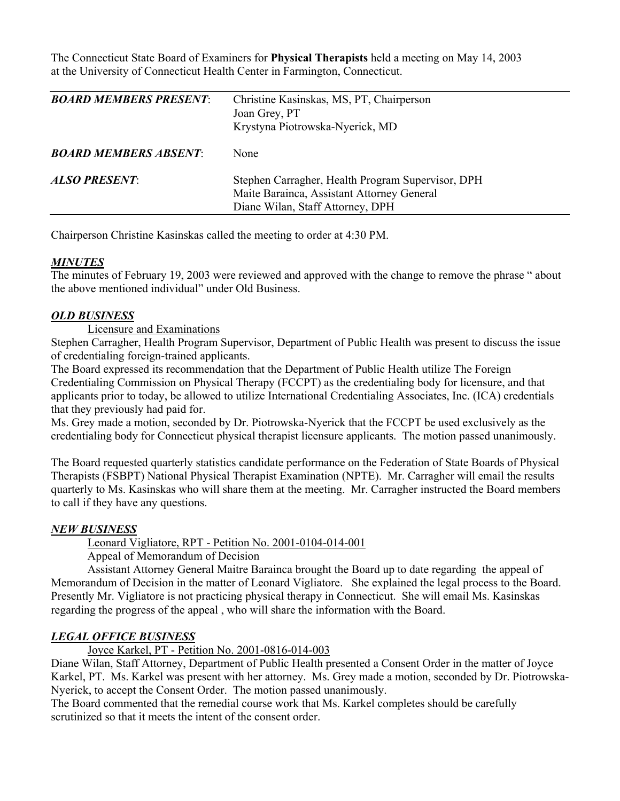The Connecticut State Board of Examiners for **Physical Therapists** held a meeting on May 14, 2003 at the University of Connecticut Health Center in Farmington, Connecticut.

| <b>BOARD MEMBERS PRESENT:</b> | Christine Kasinskas, MS, PT, Chairperson<br>Joan Grey, PT<br>Krystyna Piotrowska-Nyerick, MD                                        |
|-------------------------------|-------------------------------------------------------------------------------------------------------------------------------------|
| <b>BOARD MEMBERS ABSENT:</b>  | None                                                                                                                                |
| <b>ALSO PRESENT:</b>          | Stephen Carragher, Health Program Supervisor, DPH<br>Maite Barainca, Assistant Attorney General<br>Diane Wilan, Staff Attorney, DPH |

Chairperson Christine Kasinskas called the meeting to order at 4:30 PM.

#### *MINUTES*

The minutes of February 19, 2003 were reviewed and approved with the change to remove the phrase " about the above mentioned individual" under Old Business.

#### *OLD BUSINESS*

Licensure and Examinations

Stephen Carragher, Health Program Supervisor, Department of Public Health was present to discuss the issue of credentialing foreign-trained applicants.

The Board expressed its recommendation that the Department of Public Health utilize The Foreign Credentialing Commission on Physical Therapy (FCCPT) as the credentialing body for licensure, and that applicants prior to today, be allowed to utilize International Credentialing Associates, Inc. (ICA) credentials that they previously had paid for.

Ms. Grey made a motion, seconded by Dr. Piotrowska-Nyerick that the FCCPT be used exclusively as the credentialing body for Connecticut physical therapist licensure applicants. The motion passed unanimously.

The Board requested quarterly statistics candidate performance on the Federation of State Boards of Physical Therapists (FSBPT) National Physical Therapist Examination (NPTE). Mr. Carragher will email the results quarterly to Ms. Kasinskas who will share them at the meeting. Mr. Carragher instructed the Board members to call if they have any questions.

#### *NEW BUSINESS*

Leonard Vigliatore, RPT - Petition No. 2001-0104-014-001

Appeal of Memorandum of Decision

 Assistant Attorney General Maitre Barainca brought the Board up to date regarding the appeal of Memorandum of Decision in the matter of Leonard Vigliatore. She explained the legal process to the Board. Presently Mr. Vigliatore is not practicing physical therapy in Connecticut. She will email Ms. Kasinskas regarding the progress of the appeal , who will share the information with the Board.

### *LEGAL OFFICE BUSINESS*

Joyce Karkel, PT - Petition No. 2001-0816-014-003

Diane Wilan, Staff Attorney, Department of Public Health presented a Consent Order in the matter of Joyce Karkel, PT. Ms. Karkel was present with her attorney. Ms. Grey made a motion, seconded by Dr. Piotrowska-Nyerick, to accept the Consent Order. The motion passed unanimously.

The Board commented that the remedial course work that Ms. Karkel completes should be carefully scrutinized so that it meets the intent of the consent order.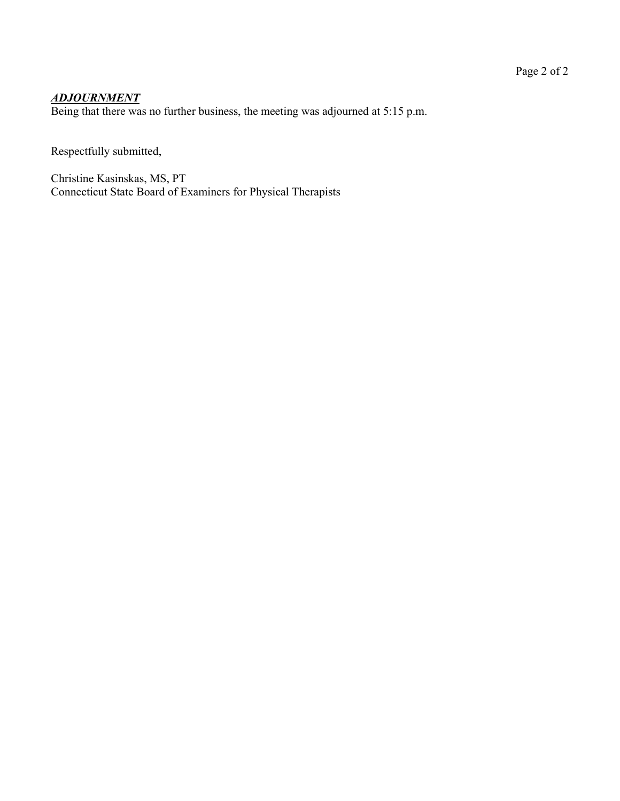# *ADJOURNMENT*

Being that there was no further business, the meeting was adjourned at 5:15 p.m.

Respectfully submitted,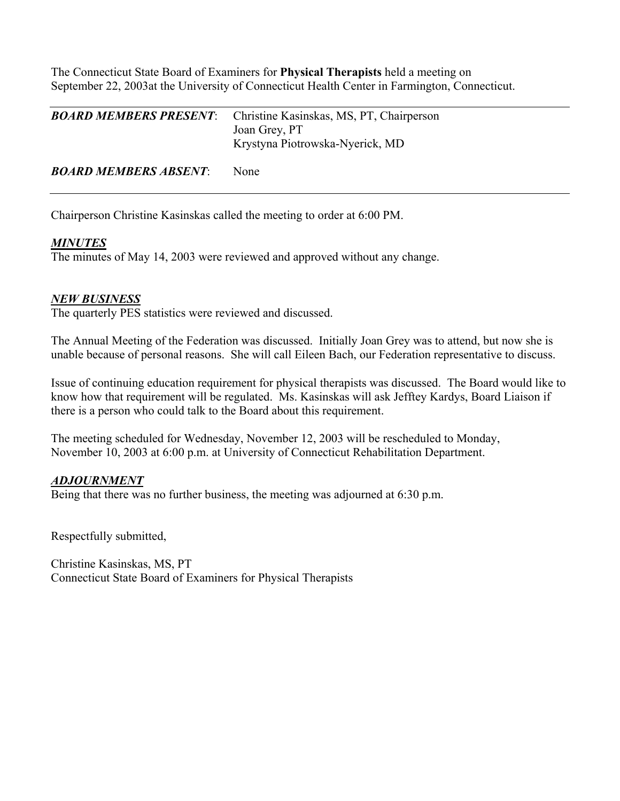The Connecticut State Board of Examiners for **Physical Therapists** held a meeting on September 22, 2003at the University of Connecticut Health Center in Farmington, Connecticut.

| <b>BOARD MEMBERS PRESENT</b> | Christine Kasinskas, MS, PT, Chairperson<br>Joan Grey, PT<br>Krystyna Piotrowska-Nyerick, MD |
|------------------------------|----------------------------------------------------------------------------------------------|
| <b>BOARD MEMBERS ABSENT:</b> | <b>None</b>                                                                                  |

Chairperson Christine Kasinskas called the meeting to order at 6:00 PM.

### *MINUTES*

The minutes of May 14, 2003 were reviewed and approved without any change.

### *NEW BUSINESS*

The quarterly PES statistics were reviewed and discussed.

The Annual Meeting of the Federation was discussed. Initially Joan Grey was to attend, but now she is unable because of personal reasons. She will call Eileen Bach, our Federation representative to discuss.

Issue of continuing education requirement for physical therapists was discussed. The Board would like to know how that requirement will be regulated. Ms. Kasinskas will ask Jefftey Kardys, Board Liaison if there is a person who could talk to the Board about this requirement.

The meeting scheduled for Wednesday, November 12, 2003 will be rescheduled to Monday, November 10, 2003 at 6:00 p.m. at University of Connecticut Rehabilitation Department.

### *ADJOURNMENT*

Being that there was no further business, the meeting was adjourned at 6:30 p.m.

Respectfully submitted,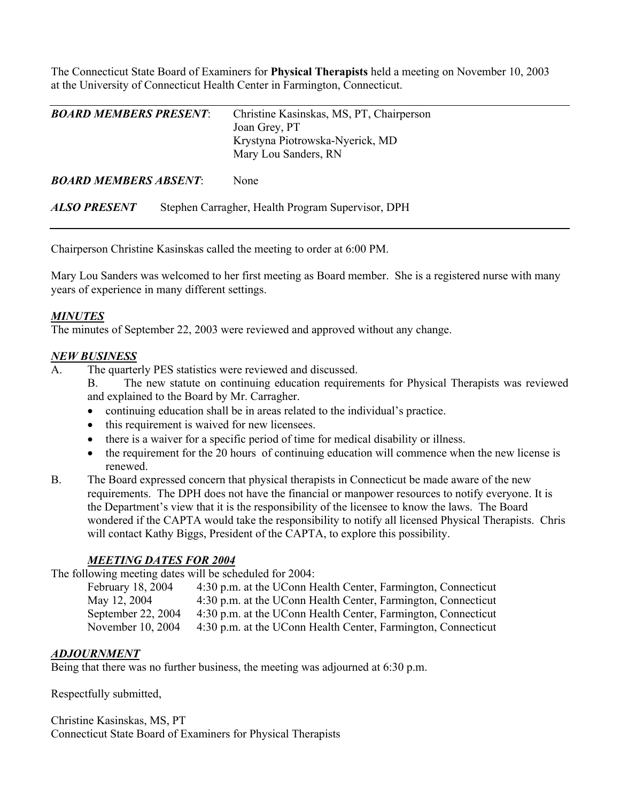The Connecticut State Board of Examiners for **Physical Therapists** held a meeting on November 10, 2003 at the University of Connecticut Health Center in Farmington, Connecticut.

| <b>BOARD MEMBERS PRESENT</b> | Christine Kasinskas, MS, PT, Chairperson<br>Joan Grey, PT<br>Krystyna Piotrowska-Nyerick, MD<br>Mary Lou Sanders, RN |
|------------------------------|----------------------------------------------------------------------------------------------------------------------|
| <b>BOARD MEMBERS ABSENT:</b> | <b>None</b>                                                                                                          |

Chairperson Christine Kasinskas called the meeting to order at 6:00 PM.

*ALSO PRESENT* Stephen Carragher, Health Program Supervisor, DPH

Mary Lou Sanders was welcomed to her first meeting as Board member. She is a registered nurse with many years of experience in many different settings.

#### *MINUTES*

The minutes of September 22, 2003 were reviewed and approved without any change.

#### *NEW BUSINESS*

- The quarterly PES statistics were reviewed and discussed.
	- B. The new statute on continuing education requirements for Physical Therapists was reviewed and explained to the Board by Mr. Carragher.
	- continuing education shall be in areas related to the individual's practice.
	- this requirement is waived for new licensees.
	- there is a waiver for a specific period of time for medical disability or illness.
	- the requirement for the 20 hours of continuing education will commence when the new license is renewed.
- B. The Board expressed concern that physical therapists in Connecticut be made aware of the new requirements. The DPH does not have the financial or manpower resources to notify everyone. It is the Department's view that it is the responsibility of the licensee to know the laws. The Board wondered if the CAPTA would take the responsibility to notify all licensed Physical Therapists. Chris will contact Kathy Biggs, President of the CAPTA, to explore this possibility.

### *MEETING DATES FOR 2004*

The following meeting dates will be scheduled for 2004:

| February 18, 2004  | 4:30 p.m. at the UConn Health Center, Farmington, Connecticut |
|--------------------|---------------------------------------------------------------|
| May 12, 2004       | 4:30 p.m. at the UConn Health Center, Farmington, Connecticut |
| September 22, 2004 | 4:30 p.m. at the UConn Health Center, Farmington, Connecticut |
| November 10, 2004  | 4:30 p.m. at the UConn Health Center, Farmington, Connecticut |

### *ADJOURNMENT*

Being that there was no further business, the meeting was adjourned at 6:30 p.m.

Respectfully submitted,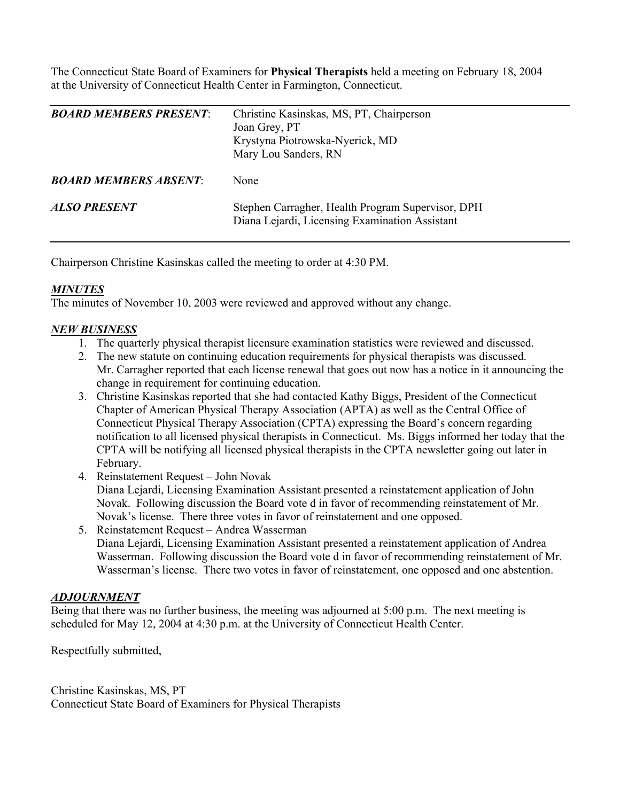The Connecticut State Board of Examiners for **Physical Therapists** held a meeting on February 18, 2004 at the University of Connecticut Health Center in Farmington, Connecticut.

| <b>BOARD MEMBERS PRESENT:</b> | Christine Kasinskas, MS, PT, Chairperson<br>Joan Grey, PT<br>Krystyna Piotrowska-Nyerick, MD<br>Mary Lou Sanders, RN |
|-------------------------------|----------------------------------------------------------------------------------------------------------------------|
| <b>BOARD MEMBERS ABSENT:</b>  | None                                                                                                                 |
| ALSO PRESENT                  | Stephen Carragher, Health Program Supervisor, DPH<br>Diana Lejardi, Licensing Examination Assistant                  |

Chairperson Christine Kasinskas called the meeting to order at 4:30 PM.

### *MINUTES*

The minutes of November 10, 2003 were reviewed and approved without any change.

### *NEW BUSINESS*

- 1. The quarterly physical therapist licensure examination statistics were reviewed and discussed.
- 2. The new statute on continuing education requirements for physical therapists was discussed. Mr. Carragher reported that each license renewal that goes out now has a notice in it announcing the change in requirement for continuing education.
- 3. Christine Kasinskas reported that she had contacted Kathy Biggs, President of the Connecticut Chapter of American Physical Therapy Association (APTA) as well as the Central Office of Connecticut Physical Therapy Association (CPTA) expressing the Board's concern regarding notification to all licensed physical therapists in Connecticut. Ms. Biggs informed her today that the CPTA will be notifying all licensed physical therapists in the CPTA newsletter going out later in February.
- 4. Reinstatement Request John Novak Diana Lejardi, Licensing Examination Assistant presented a reinstatement application of John Novak. Following discussion the Board vote d in favor of recommending reinstatement of Mr. Novak's license. There three votes in favor of reinstatement and one opposed.
- 5. Reinstatement Request Andrea Wasserman Diana Lejardi, Licensing Examination Assistant presented a reinstatement application of Andrea Wasserman. Following discussion the Board vote d in favor of recommending reinstatement of Mr. Wasserman's license. There two votes in favor of reinstatement, one opposed and one abstention.

### *ADJOURNMENT*

Being that there was no further business, the meeting was adjourned at 5:00 p.m. The next meeting is scheduled for May 12, 2004 at 4:30 p.m. at the University of Connecticut Health Center.

Respectfully submitted,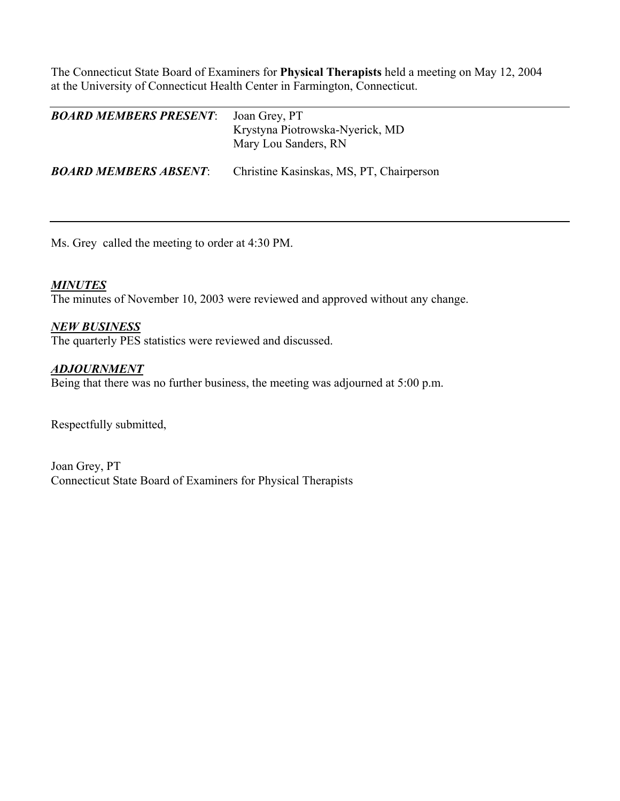The Connecticut State Board of Examiners for **Physical Therapists** held a meeting on May 12, 2004 at the University of Connecticut Health Center in Farmington, Connecticut.

| <b>BOARD MEMBERS PRESENT:</b> | Joan Grey, PT<br>Krystyna Piotrowska-Nyerick, MD<br>Mary Lou Sanders, RN |
|-------------------------------|--------------------------------------------------------------------------|
| <b>BOARD MEMBERS ABSENT:</b>  | Christine Kasinskas, MS, PT, Chairperson                                 |

Ms. Grey called the meeting to order at 4:30 PM.

### *MINUTES*

The minutes of November 10, 2003 were reviewed and approved without any change.

### *NEW BUSINESS*

The quarterly PES statistics were reviewed and discussed.

### *ADJOURNMENT*

Being that there was no further business, the meeting was adjourned at 5:00 p.m.

Respectfully submitted,

Joan Grey, PT Connecticut State Board of Examiners for Physical Therapists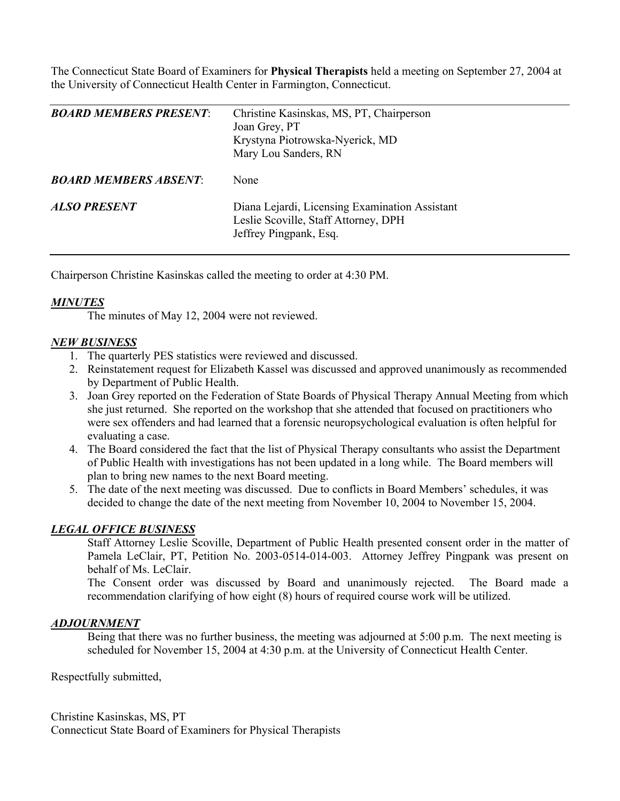The Connecticut State Board of Examiners for **Physical Therapists** held a meeting on September 27, 2004 at the University of Connecticut Health Center in Farmington, Connecticut.

| <b>BOARD MEMBERS PRESENT:</b> | Christine Kasinskas, MS, PT, Chairperson<br>Joan Grey, PT<br>Krystyna Piotrowska-Nyerick, MD<br>Mary Lou Sanders, RN |
|-------------------------------|----------------------------------------------------------------------------------------------------------------------|
| <b>BOARD MEMBERS ABSENT:</b>  | None                                                                                                                 |
| <b>ALSO PRESENT</b>           | Diana Lejardi, Licensing Examination Assistant<br>Leslie Scoville, Staff Attorney, DPH<br>Jeffrey Pingpank, Esq.     |

Chairperson Christine Kasinskas called the meeting to order at 4:30 PM.

## *MINUTES*

The minutes of May 12, 2004 were not reviewed.

## *NEW BUSINESS*

- 1. The quarterly PES statistics were reviewed and discussed.
- 2. Reinstatement request for Elizabeth Kassel was discussed and approved unanimously as recommended by Department of Public Health.
- 3. Joan Grey reported on the Federation of State Boards of Physical Therapy Annual Meeting from which she just returned. She reported on the workshop that she attended that focused on practitioners who were sex offenders and had learned that a forensic neuropsychological evaluation is often helpful for evaluating a case.
- 4. The Board considered the fact that the list of Physical Therapy consultants who assist the Department of Public Health with investigations has not been updated in a long while. The Board members will plan to bring new names to the next Board meeting.
- 5. The date of the next meeting was discussed. Due to conflicts in Board Members' schedules, it was decided to change the date of the next meeting from November 10, 2004 to November 15, 2004.

### *LEGAL OFFICE BUSINESS*

Staff Attorney Leslie Scoville, Department of Public Health presented consent order in the matter of Pamela LeClair, PT, Petition No. 2003-0514-014-003. Attorney Jeffrey Pingpank was present on behalf of Ms. LeClair.

The Consent order was discussed by Board and unanimously rejected. The Board made a recommendation clarifying of how eight (8) hours of required course work will be utilized.

### *ADJOURNMENT*

Being that there was no further business, the meeting was adjourned at 5:00 p.m. The next meeting is scheduled for November 15, 2004 at 4:30 p.m. at the University of Connecticut Health Center.

Respectfully submitted,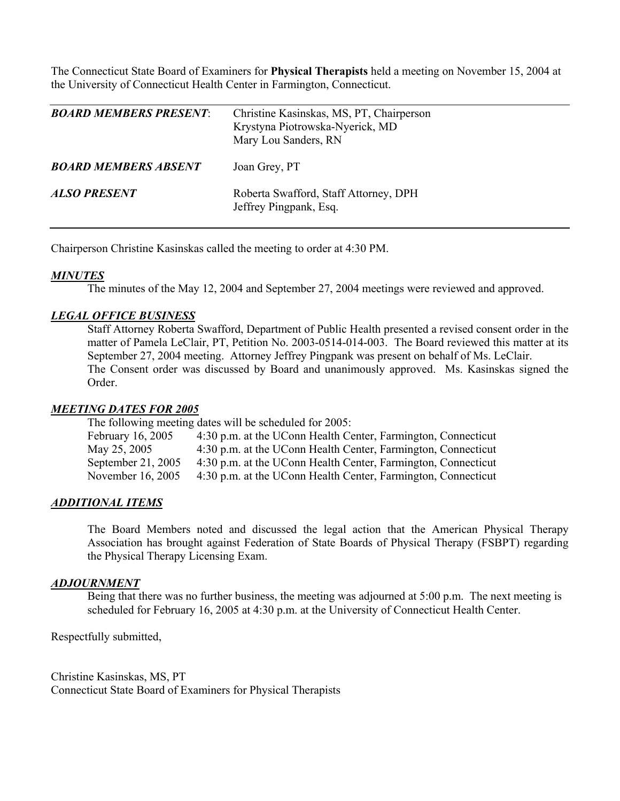The Connecticut State Board of Examiners for **Physical Therapists** held a meeting on November 15, 2004 at the University of Connecticut Health Center in Farmington, Connecticut.

| <i>BOARD MEMBERS PRESENT:</i> | Christine Kasinskas, MS, PT, Chairperson<br>Krystyna Piotrowska-Nyerick, MD<br>Mary Lou Sanders, RN |
|-------------------------------|-----------------------------------------------------------------------------------------------------|
| <b>BOARD MEMBERS ABSENT</b>   | Joan Grey, PT                                                                                       |
| ALSO PRESENT                  | Roberta Swafford, Staff Attorney, DPH<br>Jeffrey Pingpank, Esq.                                     |

Chairperson Christine Kasinskas called the meeting to order at 4:30 PM.

### *MINUTES*

The minutes of the May 12, 2004 and September 27, 2004 meetings were reviewed and approved.

#### *LEGAL OFFICE BUSINESS*

Staff Attorney Roberta Swafford, Department of Public Health presented a revised consent order in the matter of Pamela LeClair, PT, Petition No. 2003-0514-014-003. The Board reviewed this matter at its September 27, 2004 meeting. Attorney Jeffrey Pingpank was present on behalf of Ms. LeClair. The Consent order was discussed by Board and unanimously approved. Ms. Kasinskas signed the Order.

#### *MEETING DATES FOR 2005*

The following meeting dates will be scheduled for 2005:

February 16, 2005 4:30 p.m. at the UConn Health Center, Farmington, Connecticut May 25, 2005 4:30 p.m. at the UConn Health Center, Farmington, Connecticut September 21, 2005 4:30 p.m. at the UConn Health Center, Farmington, Connecticut November 16, 2005 4:30 p.m. at the UConn Health Center, Farmington, Connecticut

#### *ADDITIONAL ITEMS*

The Board Members noted and discussed the legal action that the American Physical Therapy Association has brought against Federation of State Boards of Physical Therapy (FSBPT) regarding the Physical Therapy Licensing Exam.

#### *ADJOURNMENT*

 Being that there was no further business, the meeting was adjourned at 5:00 p.m. The next meeting is scheduled for February 16, 2005 at 4:30 p.m. at the University of Connecticut Health Center.

Respectfully submitted,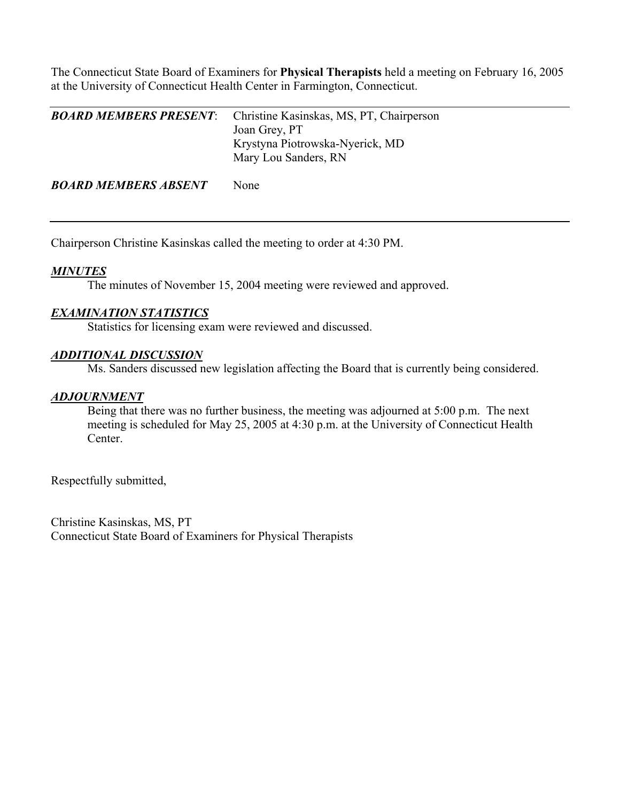The Connecticut State Board of Examiners for **Physical Therapists** held a meeting on February 16, 2005 at the University of Connecticut Health Center in Farmington, Connecticut.

| <b>BOARD MEMBERS PRESENT</b> | Christine Kasinskas, MS, PT, Chairperson |
|------------------------------|------------------------------------------|
|                              | Joan Grey, PT                            |
|                              | Krystyna Piotrowska-Nyerick, MD          |
|                              | Mary Lou Sanders, RN                     |
|                              |                                          |
|                              |                                          |

**BOARD MEMBERS ABSENT** None

Chairperson Christine Kasinskas called the meeting to order at 4:30 PM.

## *MINUTES*

The minutes of November 15, 2004 meeting were reviewed and approved.

### *EXAMINATION STATISTICS*

Statistics for licensing exam were reviewed and discussed.

#### *ADDITIONAL DISCUSSION*

Ms. Sanders discussed new legislation affecting the Board that is currently being considered.

### *ADJOURNMENT*

 Being that there was no further business, the meeting was adjourned at 5:00 p.m. The next meeting is scheduled for May 25, 2005 at 4:30 p.m. at the University of Connecticut Health Center.

Respectfully submitted,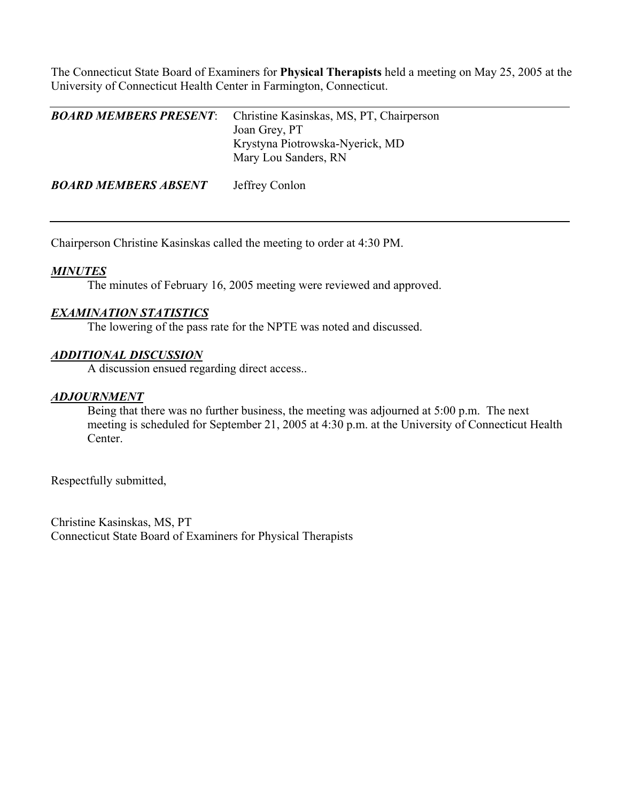The Connecticut State Board of Examiners for **Physical Therapists** held a meeting on May 25, 2005 at the University of Connecticut Health Center in Farmington, Connecticut.

| <b>BOARD MEMBERS PRESENT:</b> | Christine Kasinskas, MS, PT, Chairperson<br>Joan Grey, PT<br>Krystyna Piotrowska-Nyerick, MD<br>Mary Lou Sanders, RN |
|-------------------------------|----------------------------------------------------------------------------------------------------------------------|
| <b>BOARD MEMBERS ABSENT</b>   | Jeffrey Conlon                                                                                                       |

Chairperson Christine Kasinskas called the meeting to order at 4:30 PM.

### *MINUTES*

The minutes of February 16, 2005 meeting were reviewed and approved.

#### *EXAMINATION STATISTICS*

The lowering of the pass rate for the NPTE was noted and discussed.

#### *ADDITIONAL DISCUSSION*

A discussion ensued regarding direct access..

### *ADJOURNMENT*

 Being that there was no further business, the meeting was adjourned at 5:00 p.m. The next meeting is scheduled for September 21, 2005 at 4:30 p.m. at the University of Connecticut Health Center.

Respectfully submitted,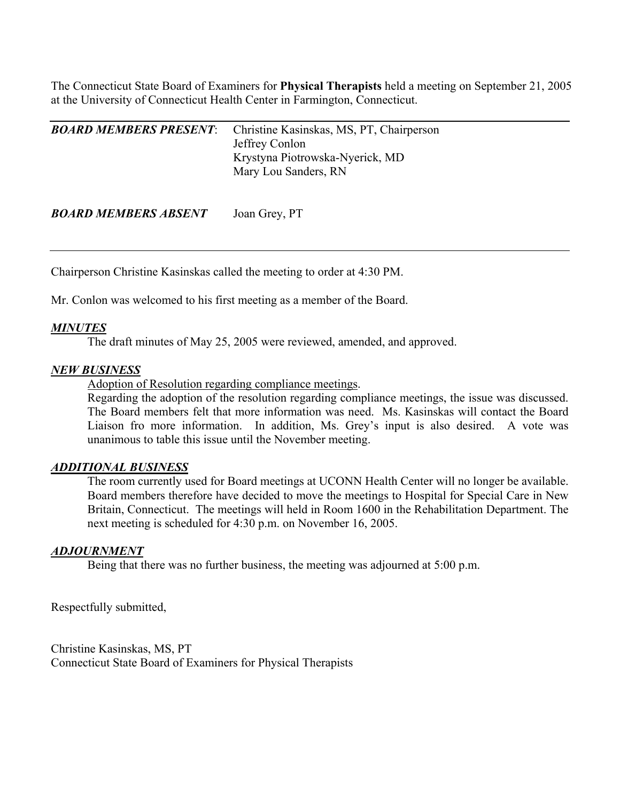The Connecticut State Board of Examiners for **Physical Therapists** held a meeting on September 21, 2005 at the University of Connecticut Health Center in Farmington, Connecticut.

| <b>BOARD MEMBERS PRESENT:</b> | Christine Kasinskas, MS, PT, Chairperson<br>Jeffrey Conlon<br>Krystyna Piotrowska-Nyerick, MD<br>Mary Lou Sanders, RN |
|-------------------------------|-----------------------------------------------------------------------------------------------------------------------|
|                               |                                                                                                                       |

*BOARD MEMBERS ABSENT* Joan Grey, PT

Chairperson Christine Kasinskas called the meeting to order at 4:30 PM.

Mr. Conlon was welcomed to his first meeting as a member of the Board.

### *MINUTES*

The draft minutes of May 25, 2005 were reviewed, amended, and approved.

#### *NEW BUSINESS*

Adoption of Resolution regarding compliance meetings.

Regarding the adoption of the resolution regarding compliance meetings, the issue was discussed. The Board members felt that more information was need. Ms. Kasinskas will contact the Board Liaison fro more information. In addition, Ms. Grey's input is also desired. A vote was unanimous to table this issue until the November meeting.

#### *ADDITIONAL BUSINESS*

The room currently used for Board meetings at UCONN Health Center will no longer be available. Board members therefore have decided to move the meetings to Hospital for Special Care in New Britain, Connecticut. The meetings will held in Room 1600 in the Rehabilitation Department. The next meeting is scheduled for 4:30 p.m. on November 16, 2005.

### *ADJOURNMENT*

Being that there was no further business, the meeting was adjourned at 5:00 p.m.

Respectfully submitted,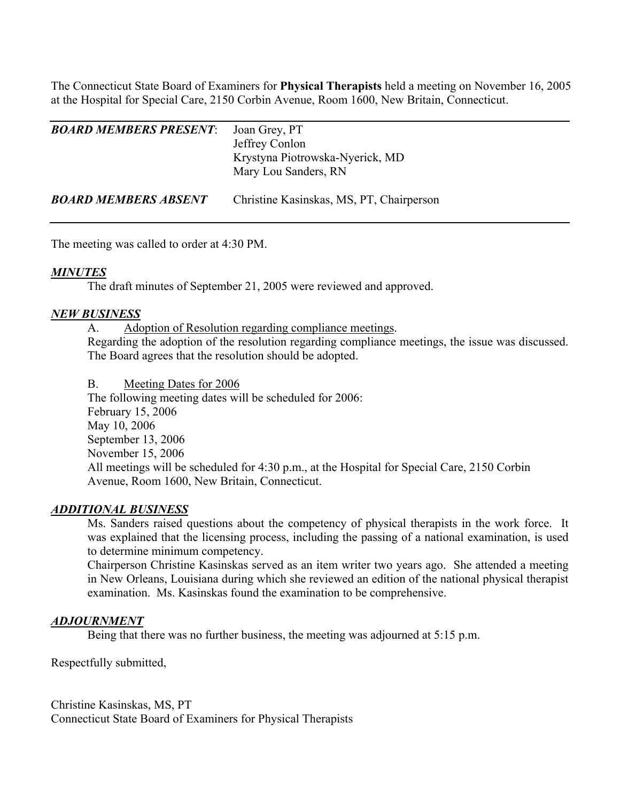The Connecticut State Board of Examiners for **Physical Therapists** held a meeting on November 16, 2005 at the Hospital for Special Care, 2150 Corbin Avenue, Room 1600, New Britain, Connecticut.

| <i><b>BOARD MEMBERS PRESENT:</b></i> | Joan Grey, PT<br>Jeffrey Conlon<br>Krystyna Piotrowska-Nyerick, MD<br>Mary Lou Sanders, RN |
|--------------------------------------|--------------------------------------------------------------------------------------------|
| <b>BOARD MEMBERS ABSENT</b>          | Christine Kasinskas, MS, PT, Chairperson                                                   |

The meeting was called to order at 4:30 PM.

### *MINUTES*

The draft minutes of September 21, 2005 were reviewed and approved.

### *NEW BUSINESS*

A. Adoption of Resolution regarding compliance meetings.

Regarding the adoption of the resolution regarding compliance meetings, the issue was discussed. The Board agrees that the resolution should be adopted.

#### B. Meeting Dates for 2006

 The following meeting dates will be scheduled for 2006: February 15, 2006 May 10, 2006 September 13, 2006 November 15, 2006 All meetings will be scheduled for 4:30 p.m., at the Hospital for Special Care, 2150 Corbin Avenue, Room 1600, New Britain, Connecticut.

### *ADDITIONAL BUSINESS*

Ms. Sanders raised questions about the competency of physical therapists in the work force. It was explained that the licensing process, including the passing of a national examination, is used to determine minimum competency.

Chairperson Christine Kasinskas served as an item writer two years ago. She attended a meeting in New Orleans, Louisiana during which she reviewed an edition of the national physical therapist examination. Ms. Kasinskas found the examination to be comprehensive.

### *ADJOURNMENT*

Being that there was no further business, the meeting was adjourned at 5:15 p.m.

Respectfully submitted,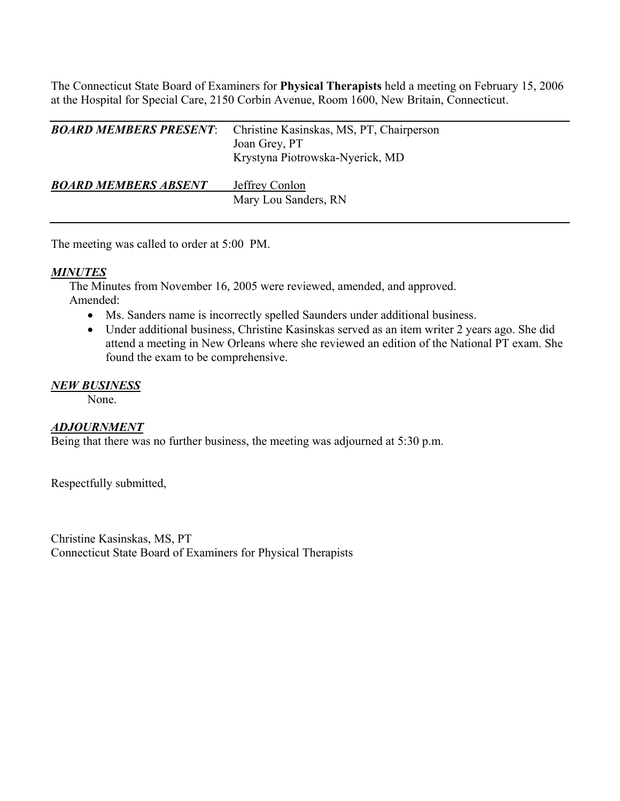The Connecticut State Board of Examiners for **Physical Therapists** held a meeting on February 15, 2006 at the Hospital for Special Care, 2150 Corbin Avenue, Room 1600, New Britain, Connecticut.

| <b>BOARD MEMBERS PRESENT:</b> | Christine Kasinskas, MS, PT, Chairperson<br>Joan Grey, PT<br>Krystyna Piotrowska-Nyerick, MD |
|-------------------------------|----------------------------------------------------------------------------------------------|
| <b>BOARD MEMBERS ABSENT</b>   | Jeffrey Conlon<br>Mary Lou Sanders, RN                                                       |

The meeting was called to order at 5:00 PM.

## *MINUTES*

The Minutes from November 16, 2005 were reviewed, amended, and approved. Amended:

- Ms. Sanders name is incorrectly spelled Saunders under additional business.
- Under additional business, Christine Kasinskas served as an item writer 2 years ago. She did attend a meeting in New Orleans where she reviewed an edition of the National PT exam. She found the exam to be comprehensive.

## *NEW BUSINESS*

None.

## *ADJOURNMENT*

Being that there was no further business, the meeting was adjourned at 5:30 p.m.

Respectfully submitted,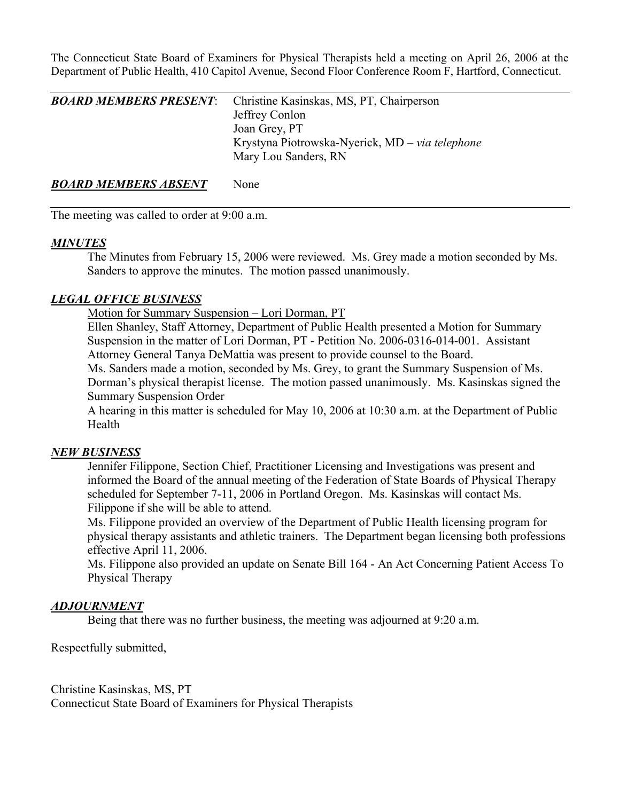The Connecticut State Board of Examiners for Physical Therapists held a meeting on April 26, 2006 at the Department of Public Health, 410 Capitol Avenue, Second Floor Conference Room F, Hartford, Connecticut.

| <b>BOARD MEMBERS PRESENT:</b> | Christine Kasinskas, MS, PT, Chairperson        |
|-------------------------------|-------------------------------------------------|
|                               | Jeffrey Conlon                                  |
|                               | Joan Grey, PT                                   |
|                               | Krystyna Piotrowska-Nyerick, MD – via telephone |
|                               | Mary Lou Sanders, RN                            |
|                               |                                                 |

**BOARD MEMBERS ABSENT** None

The meeting was called to order at 9:00 a.m.

### *MINUTES*

 The Minutes from February 15, 2006 were reviewed. Ms. Grey made a motion seconded by Ms. Sanders to approve the minutes. The motion passed unanimously.

## *LEGAL OFFICE BUSINESS*

Motion for Summary Suspension – Lori Dorman, PT

 Ellen Shanley, Staff Attorney, Department of Public Health presented a Motion for Summary Suspension in the matter of Lori Dorman, PT - Petition No. 2006-0316-014-001. Assistant Attorney General Tanya DeMattia was present to provide counsel to the Board.

 Ms. Sanders made a motion, seconded by Ms. Grey, to grant the Summary Suspension of Ms. Dorman's physical therapist license. The motion passed unanimously. Ms. Kasinskas signed the Summary Suspension Order

 A hearing in this matter is scheduled for May 10, 2006 at 10:30 a.m. at the Department of Public Health

## *NEW BUSINESS*

 Jennifer Filippone, Section Chief, Practitioner Licensing and Investigations was present and informed the Board of the annual meeting of the Federation of State Boards of Physical Therapy scheduled for September 7-11, 2006 in Portland Oregon. Ms. Kasinskas will contact Ms. Filippone if she will be able to attend.

 Ms. Filippone provided an overview of the Department of Public Health licensing program for physical therapy assistants and athletic trainers. The Department began licensing both professions effective April 11, 2006.

 Ms. Filippone also provided an update on Senate Bill 164 - An Act Concerning Patient Access To Physical Therapy

## *ADJOURNMENT*

Being that there was no further business, the meeting was adjourned at 9:20 a.m.

Respectfully submitted,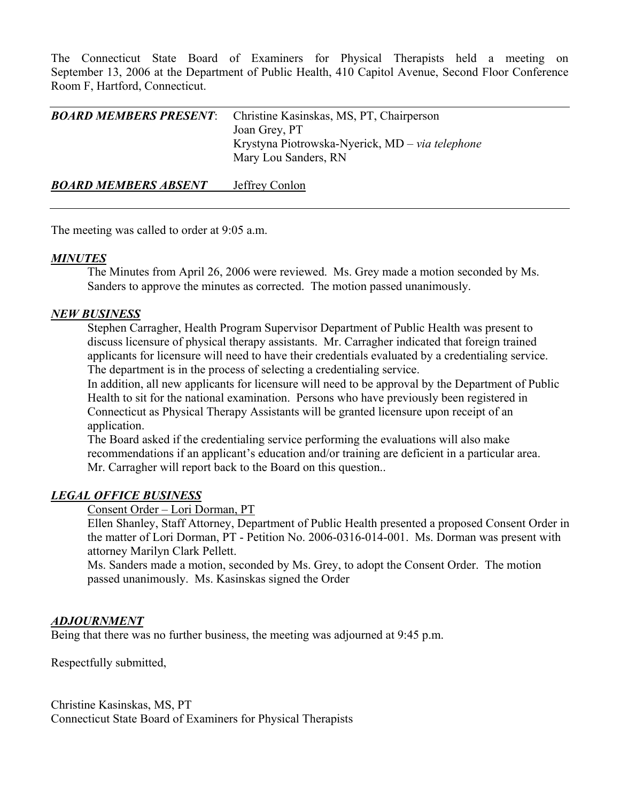The Connecticut State Board of Examiners for Physical Therapists held a meeting on September 13, 2006 at the Department of Public Health, 410 Capitol Avenue, Second Floor Conference Room F, Hartford, Connecticut.

| <b>BOARD MEMBERS PRESENT:</b> | Christine Kasinskas, MS, PT, Chairperson<br>Joan Grey, PT<br>Krystyna Piotrowska-Nyerick, MD – via telephone<br>Mary Lou Sanders, RN |
|-------------------------------|--------------------------------------------------------------------------------------------------------------------------------------|
| <b>BOARD MEMBERS ABSENT</b>   | Jeffrey Conlon                                                                                                                       |

The meeting was called to order at 9:05 a.m.

### *MINUTES*

 The Minutes from April 26, 2006 were reviewed. Ms. Grey made a motion seconded by Ms. Sanders to approve the minutes as corrected. The motion passed unanimously.

### *NEW BUSINESS*

 Stephen Carragher, Health Program Supervisor Department of Public Health was present to discuss licensure of physical therapy assistants. Mr. Carragher indicated that foreign trained applicants for licensure will need to have their credentials evaluated by a credentialing service. The department is in the process of selecting a credentialing service.

 In addition, all new applicants for licensure will need to be approval by the Department of Public Health to sit for the national examination. Persons who have previously been registered in Connecticut as Physical Therapy Assistants will be granted licensure upon receipt of an application.

 The Board asked if the credentialing service performing the evaluations will also make recommendations if an applicant's education and/or training are deficient in a particular area. Mr. Carragher will report back to the Board on this question..

### *LEGAL OFFICE BUSINESS*

Consent Order – Lori Dorman, PT

 Ellen Shanley, Staff Attorney, Department of Public Health presented a proposed Consent Order in the matter of Lori Dorman, PT - Petition No. 2006-0316-014-001. Ms. Dorman was present with attorney Marilyn Clark Pellett.

 Ms. Sanders made a motion, seconded by Ms. Grey, to adopt the Consent Order. The motion passed unanimously. Ms. Kasinskas signed the Order

#### *ADJOURNMENT*

Being that there was no further business, the meeting was adjourned at 9:45 p.m.

Respectfully submitted,